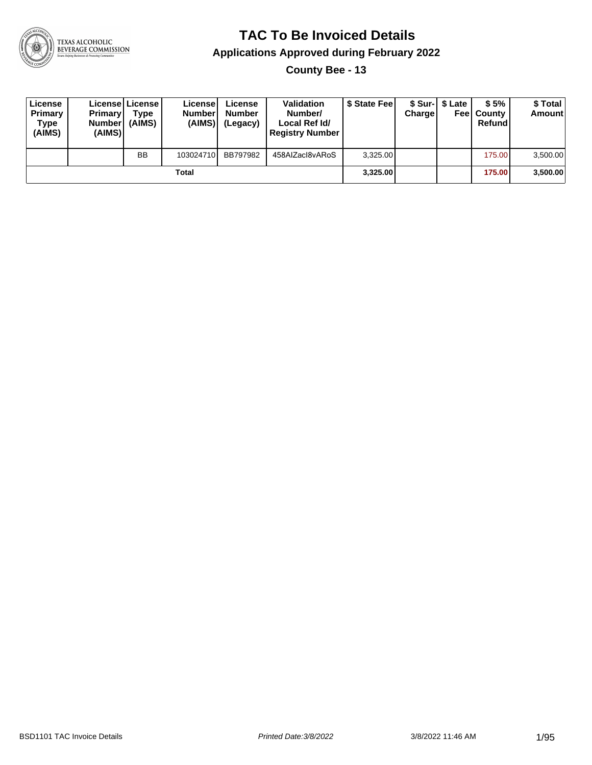

**County Bee - 13**

| License<br>Primary<br>Type<br>(AIMS) | <b>Primary</b><br>Number<br>(AIMS) | Licensel License I<br>Type<br>(AIMS) | License<br><b>Number</b><br>(AIMS) | License<br><b>Number</b><br>(Legacy) | Validation<br>Number/<br>Local Ref Id/<br><b>Registry Number</b> | \$ State Fee | <b>Charge</b> | \$ Sur-I \$ Late | \$5%<br><b>Feel County</b><br>Refund | \$ Total<br><b>Amount</b> |
|--------------------------------------|------------------------------------|--------------------------------------|------------------------------------|--------------------------------------|------------------------------------------------------------------|--------------|---------------|------------------|--------------------------------------|---------------------------|
|                                      |                                    | <b>BB</b>                            | 103024710                          | BB797982                             | 458AIZacl8vARoS                                                  | 3,325.00     |               |                  | 175.00                               | 3,500.00                  |
|                                      |                                    |                                      | Total                              |                                      |                                                                  | 3.325.00     |               |                  | 175.00                               | 3,500.00                  |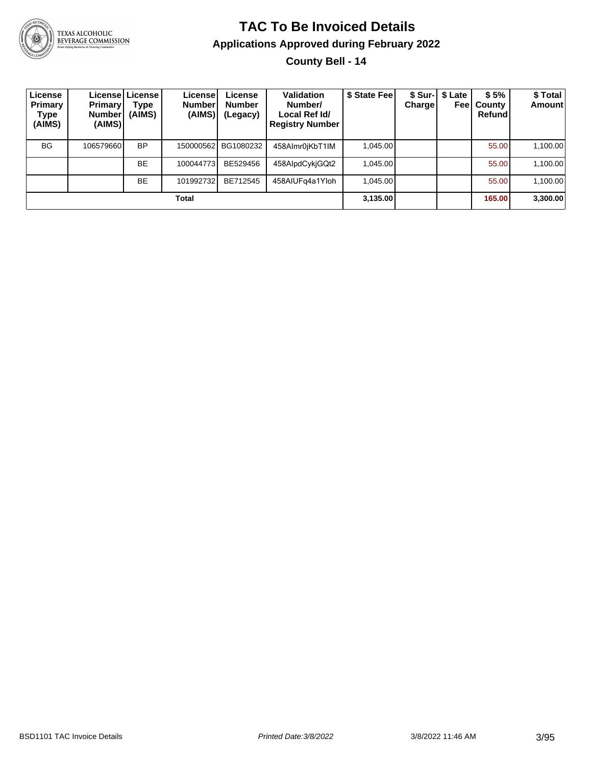

#### **TAC To Be Invoiced Details Applications Approved during February 2022 County Bell - 14**

| License<br>Primary<br><b>Type</b><br>(AIMS) | <b>Primary</b><br>Number <sup>1</sup><br>(AIMS) | Licensel License I<br>Type<br>(AIMS) | License<br><b>Number</b><br>(AIMS) | License<br><b>Number</b><br>(Legacy) | <b>Validation</b><br>Number/<br>Local Ref Id/<br><b>Registry Number</b> | \$ State Fee | Chargel | \$ Sur-1 \$ Late<br>Feel | \$5%<br>County<br>Refundl | \$ Total<br><b>Amount</b> |
|---------------------------------------------|-------------------------------------------------|--------------------------------------|------------------------------------|--------------------------------------|-------------------------------------------------------------------------|--------------|---------|--------------------------|---------------------------|---------------------------|
| <b>BG</b>                                   | 106579660                                       | <b>BP</b>                            | 150000562                          | BG1080232                            | 458Almr0jKbT1IM                                                         | 1.045.00     |         |                          | 55.00                     | 1,100.00                  |
|                                             |                                                 | <b>BE</b>                            | 100044773                          | BE529456                             | 458AlpdCykjGQt2                                                         | 1,045.00     |         |                          | 55.00                     | 1,100.00                  |
|                                             |                                                 | <b>BE</b>                            | 101992732                          | BE712545                             | 458AIUFg4a1Yloh                                                         | 1.045.00     |         |                          | 55.00                     | 1,100.00                  |
|                                             |                                                 |                                      | Total                              |                                      |                                                                         | 3,135.00     |         |                          | 165.00                    | 3,300.00                  |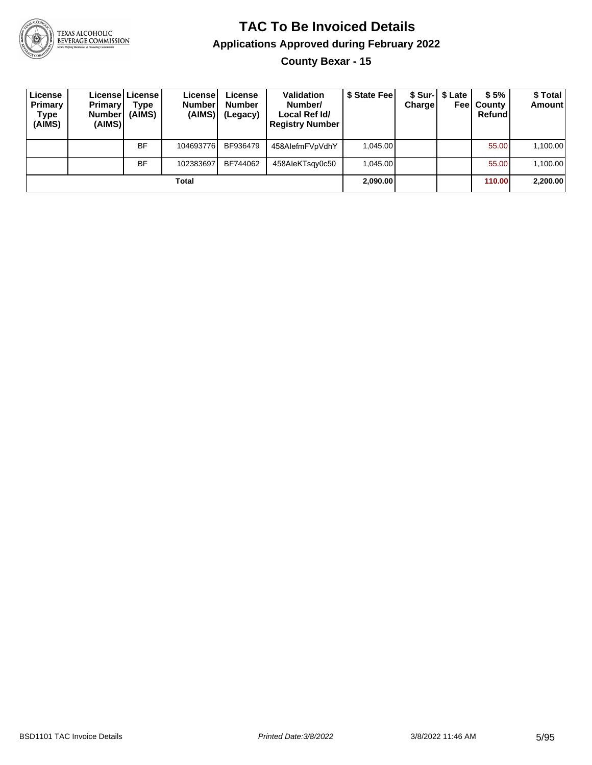

#### **TAC To Be Invoiced Details Applications Approved during February 2022 County Bexar - 15**

| License<br>Primary<br>Type<br>(AIMS) | <b>Primary</b><br><b>Number</b><br>(AIMS) | License   License  <br>Type<br>(AIMS) | License!<br><b>Number</b><br>(AIMS) | License<br><b>Number</b><br>(Legacy) | <b>Validation</b><br>Number/<br>Local Ref Id/<br><b>Registry Number</b> | \$ State Fee | Chargel | \$ Sur-1 \$ Late<br>Feel | \$5%<br>County<br>Refund | \$ Total<br><b>Amount</b> |
|--------------------------------------|-------------------------------------------|---------------------------------------|-------------------------------------|--------------------------------------|-------------------------------------------------------------------------|--------------|---------|--------------------------|--------------------------|---------------------------|
|                                      |                                           | <b>BF</b>                             | 104693776                           | BF936479                             | 458AlefmFVpVdhY                                                         | 1.045.00     |         |                          | 55.00                    | 1,100.00                  |
|                                      |                                           | <b>BF</b>                             | 102383697                           | BF744062                             | 458AleKTsgy0c50                                                         | 1.045.00     |         |                          | 55.00                    | 1,100.00                  |
|                                      |                                           |                                       | Total                               |                                      |                                                                         | 2,090.00     |         |                          | 110.00                   | 2,200.00                  |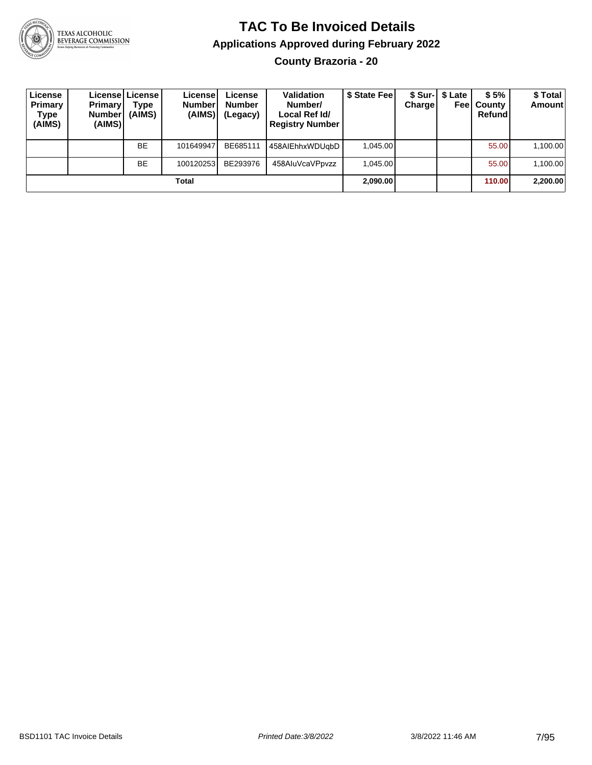

#### **TAC To Be Invoiced Details Applications Approved during February 2022 County Brazoria - 20**

| License<br>Primary<br>Type<br>(AIMS) | <b>Primary</b><br><b>Number</b><br>(AIMS) | License   License  <br>Type<br>(AIMS) | License<br><b>Number</b><br>(AIMS) | License<br><b>Number</b><br>(Legacy) | <b>Validation</b><br>Number/<br>Local Ref Id/<br><b>Registry Number</b> | \$ State Feel | <b>Charge</b> | \$ Sur-   \$ Late<br>Feel | \$5%<br>County<br>Refund | \$ Total<br><b>Amount</b> |
|--------------------------------------|-------------------------------------------|---------------------------------------|------------------------------------|--------------------------------------|-------------------------------------------------------------------------|---------------|---------------|---------------------------|--------------------------|---------------------------|
|                                      |                                           | <b>BE</b>                             | 101649947                          | BE685111                             | 458AIEhhxWDUqbD                                                         | 1.045.00      |               |                           | 55.00                    | 1,100.00                  |
|                                      |                                           | <b>BE</b>                             | 100120253                          | BE293976                             | 458AluVcaVPpvzz                                                         | 1.045.00      |               |                           | 55.00                    | 1.100.00                  |
|                                      |                                           |                                       | Total                              |                                      |                                                                         | 2,090.00      |               |                           | 110.00                   | 2,200.00                  |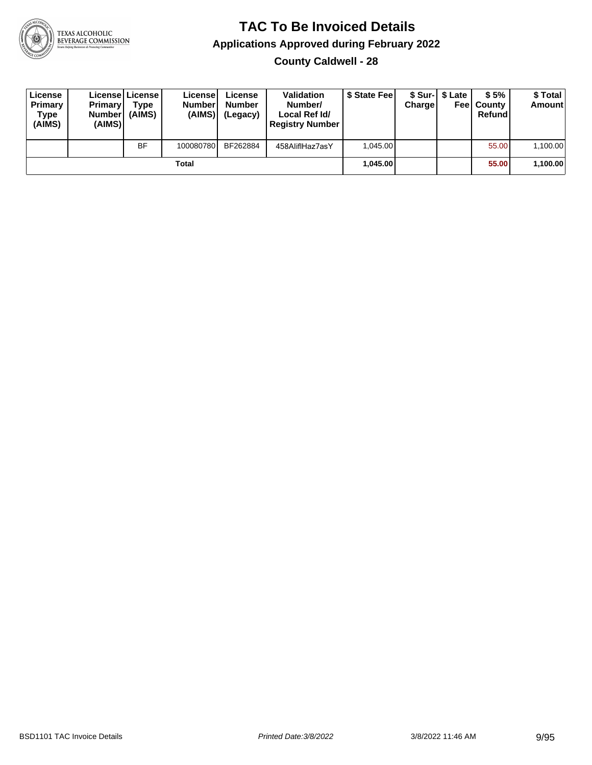

**County Caldwell - 28**

| License<br>Primary<br>Type<br>(AIMS) | <b>Primary</b><br><b>Number</b><br>(AIMS) | License   License  <br>Type<br>(AIMS) | License<br><b>Numberl</b><br>(AIMS) | License<br><b>Number</b><br>(Legacy) | <b>Validation</b><br>Number/<br>Local Ref Id/<br><b>Registry Number</b> | \$ State Feel | Charge | \$ Sur-1 \$ Late | \$5%<br><b>Feel County</b><br>Refund | \$ Total<br>Amount |
|--------------------------------------|-------------------------------------------|---------------------------------------|-------------------------------------|--------------------------------------|-------------------------------------------------------------------------|---------------|--------|------------------|--------------------------------------|--------------------|
|                                      |                                           | <b>BF</b>                             | 100080780                           | BF262884                             | 458AliflHaz7asY                                                         | 1.045.00      |        |                  | 55.00                                | 1,100.00           |
|                                      |                                           |                                       | Total                               |                                      |                                                                         | 1.045.00      |        |                  | 55.00                                | 1,100.00           |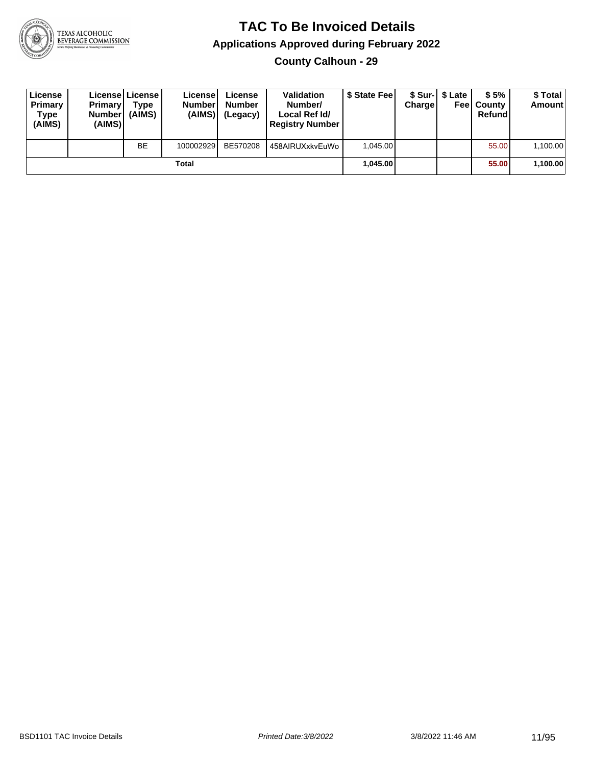

**County Calhoun - 29**

| License<br>Primary<br>Type<br>(AIMS) | <b>Primary</b><br>Number<br>(AIMS) | License License<br>Type<br>(AIMS) | License<br><b>Number</b><br>(AIMS) | License<br><b>Number</b><br>(Legacy) | <b>Validation</b><br>Number/<br>Local Ref Id/<br><b>Registry Number</b> | \$ State Feel | Charge | \$ Sur-1 \$ Late | \$5%<br><b>Feel County</b><br>Refund | \$ Total<br><b>Amount</b> |
|--------------------------------------|------------------------------------|-----------------------------------|------------------------------------|--------------------------------------|-------------------------------------------------------------------------|---------------|--------|------------------|--------------------------------------|---------------------------|
|                                      |                                    | BE                                | 100002929                          | BE570208                             | 458AIRUXxkvEuWo                                                         | 1.045.00      |        |                  | 55.00                                | 1,100.00                  |
|                                      |                                    |                                   | Total                              |                                      |                                                                         | 1.045.00      |        |                  | 55.00                                | 1,100.00                  |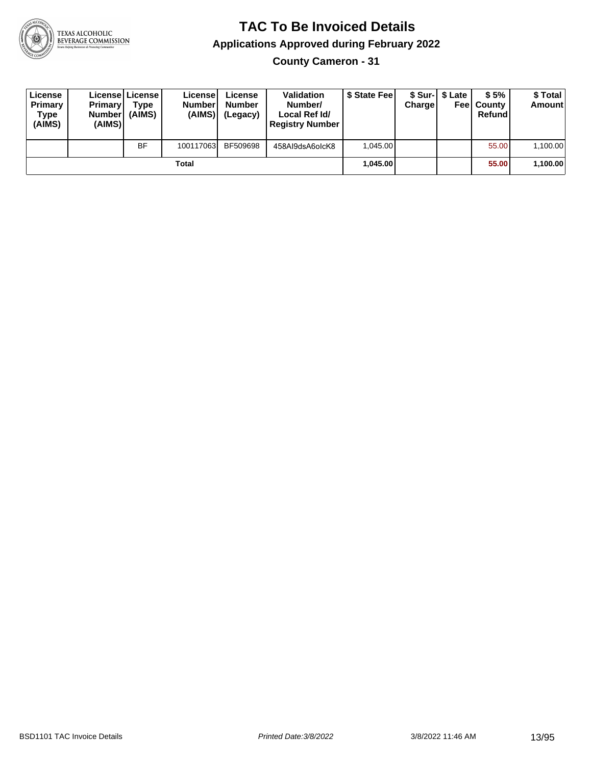

**County Cameron - 31**

| License<br>Primary<br>Type<br>(AIMS) | <b>Primary</b><br><b>Number</b><br>(AIMS) | License   License  <br>Type<br>(AIMS) | License<br><b>Number</b><br>(AIMS) | License<br><b>Number</b><br>(Legacy) | <b>Validation</b><br>Number/<br>Local Ref Id/<br><b>Registry Number</b> | \$ State Feel | Charge | \$ Sur-1 \$ Late | \$5%<br><b>Feel County</b><br>Refund | \$ Total<br><b>Amount</b> |
|--------------------------------------|-------------------------------------------|---------------------------------------|------------------------------------|--------------------------------------|-------------------------------------------------------------------------|---------------|--------|------------------|--------------------------------------|---------------------------|
|                                      |                                           | <b>BF</b>                             | 100117063                          | BF509698                             | 458AI9dsA6olcK8                                                         | 1.045.00      |        |                  | 55.00                                | 1,100.00                  |
|                                      |                                           |                                       | Total                              |                                      |                                                                         | 1.045.00      |        |                  | 55.00                                | 1,100.00                  |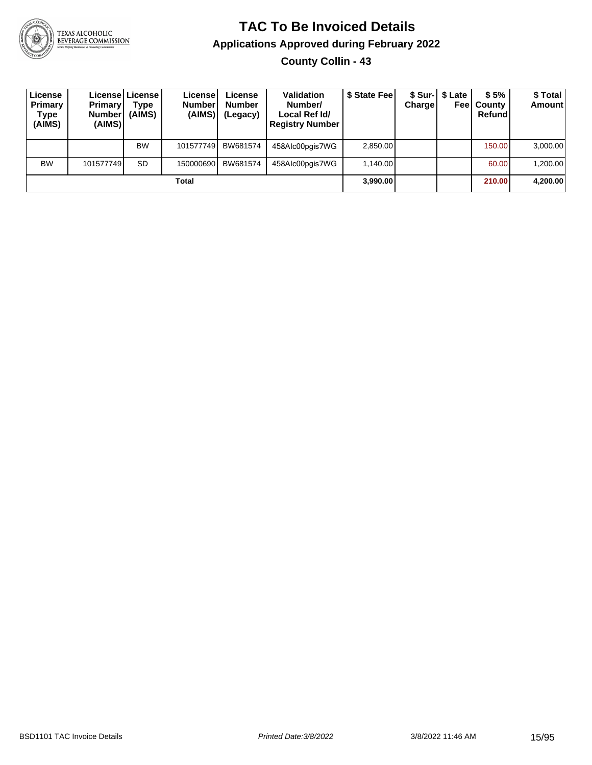

**County Collin - 43**

| License<br>Primary<br>Type<br>(AIMS) | <b>Primary</b><br><b>Number</b><br>(AIMS) | License   License  <br>Type<br>(AIMS) | License <sup>1</sup><br><b>Number</b><br>(AIMS) | License<br><b>Number</b><br>(Legacy) | <b>Validation</b><br>Number/<br>Local Ref Id/<br><b>Registry Number</b> | \$ State Feel | Charge | \$ Sur-  \$ Late | \$5%<br><b>Feel County</b><br>Refund | \$ Total<br>Amount |
|--------------------------------------|-------------------------------------------|---------------------------------------|-------------------------------------------------|--------------------------------------|-------------------------------------------------------------------------|---------------|--------|------------------|--------------------------------------|--------------------|
|                                      |                                           | <b>BW</b>                             | 101577749                                       | BW681574                             | 458Alc00pgis7WG                                                         | 2,850.00      |        |                  | 150.00                               | 3,000.00           |
| <b>BW</b>                            | 101577749                                 | <b>SD</b>                             | 150000690                                       | BW681574                             | 458Alc00pgis7WG                                                         | 1.140.00      |        |                  | 60.00                                | 1,200.00           |
|                                      |                                           |                                       | Total                                           |                                      |                                                                         | 3,990.00      |        |                  | 210.00                               | 4,200.00           |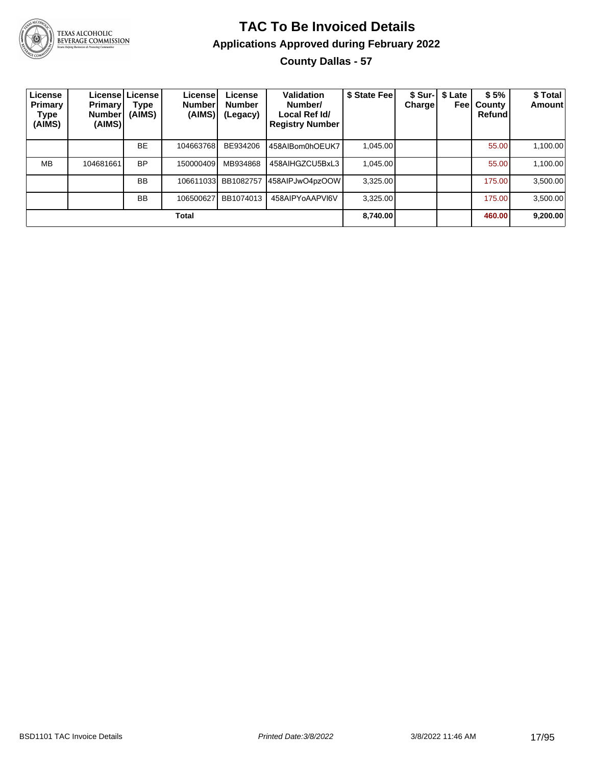

#### **TAC To Be Invoiced Details Applications Approved during February 2022 County Dallas - 57**

| License<br>Primary<br><b>Type</b><br>(AIMS) | <b>Primary</b><br><b>Number</b><br>(AIMS) | License   License  <br>Type<br>(AIMS) | License<br><b>Number</b><br>(AIMS) | License<br><b>Number</b><br>(Legacy) | <b>Validation</b><br>Number/<br>Local Ref Id/<br><b>Registry Number</b> | \$ State Fee | <b>Charge</b> | \$ Sur-   \$ Late<br>Feel | \$5%<br>County<br>Refund | \$Total<br><b>Amount</b> |
|---------------------------------------------|-------------------------------------------|---------------------------------------|------------------------------------|--------------------------------------|-------------------------------------------------------------------------|--------------|---------------|---------------------------|--------------------------|--------------------------|
|                                             |                                           | <b>BE</b>                             | 104663768                          | BE934206                             | 458AIBom0hOEUK7                                                         | 1.045.00     |               |                           | 55.00                    | 1,100.00                 |
| <b>MB</b>                                   | 104681661                                 | <b>BP</b>                             | 150000409                          | MB934868                             | 458AIHGZCU5BxL3                                                         | 1.045.00     |               |                           | 55.00                    | 1,100.00                 |
|                                             |                                           | <b>BB</b>                             | 106611033                          | BB1082757                            | 458AIPJwO4pzOOW                                                         | 3.325.00     |               |                           | 175.00                   | 3,500.00                 |
|                                             |                                           | <b>BB</b>                             | 106500627                          | BB1074013                            | 458AIPYoAAPVI6V                                                         | 3,325.00     |               |                           | 175.00                   | 3,500.00                 |
|                                             |                                           |                                       | Total                              |                                      |                                                                         | 8.740.00     |               |                           | 460.00                   | 9,200.00                 |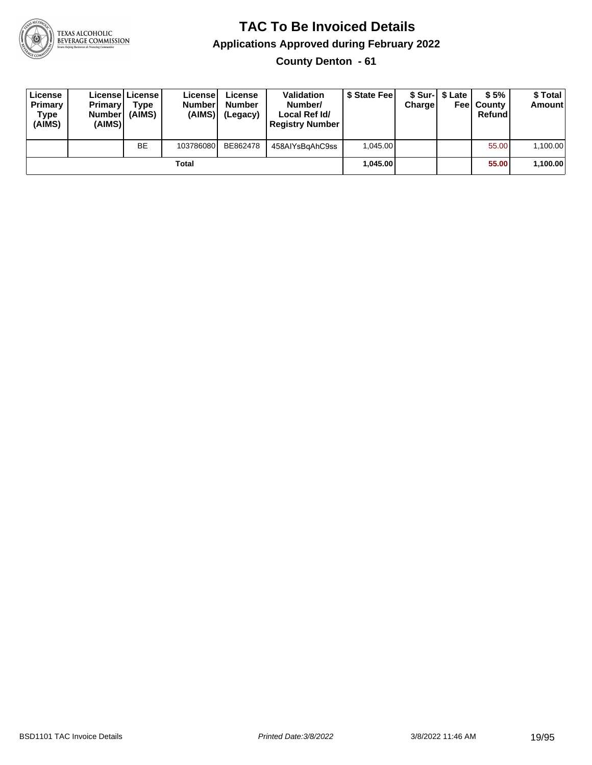

**County Denton - 61**

| License<br>Primary<br>Type<br>(AIMS) | <b>Primary</b><br><b>Number</b><br>(AIMS) | <b>License   License</b><br>Type<br>(AIMS) | License<br><b>Number</b><br>(AIMS) | License<br><b>Number</b><br>(Legacy) | <b>Validation</b><br>Number/<br>Local Ref Id/<br><b>Registry Number</b> | \$ State Feel | Charge | \$ Sur-1 \$ Late | \$5%<br><b>Feel County</b><br>Refund | \$ Total<br><b>Amount</b> |
|--------------------------------------|-------------------------------------------|--------------------------------------------|------------------------------------|--------------------------------------|-------------------------------------------------------------------------|---------------|--------|------------------|--------------------------------------|---------------------------|
|                                      |                                           | <b>BE</b>                                  | 103786080                          | BE862478                             | 458AIYsBgAhC9ss                                                         | 1.045.00      |        |                  | 55.00                                | 1,100.00                  |
|                                      |                                           |                                            | Total                              |                                      |                                                                         | 1.045.00      |        |                  | 55.00                                | 1,100.00                  |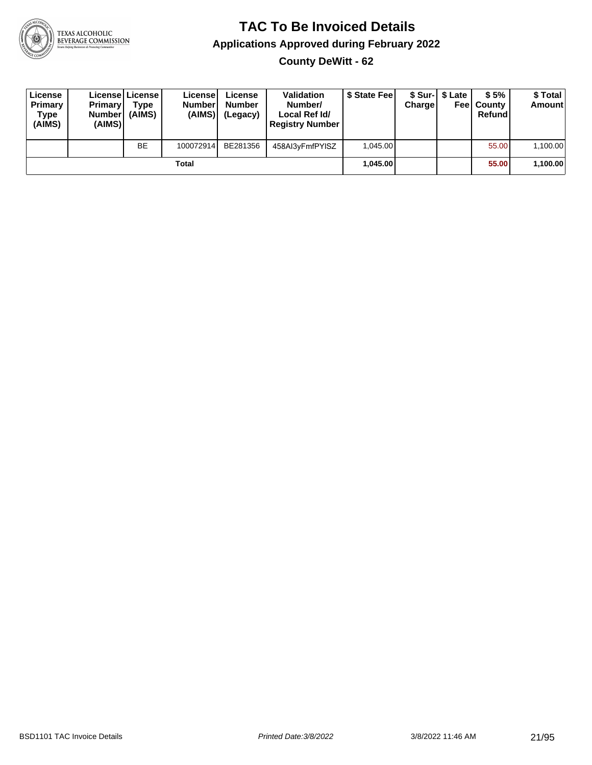

**County DeWitt - 62**

| License<br>Primary<br>Type<br>(AIMS) | <b>Primary</b><br><b>Number</b><br>(AIMS) | License   License  <br>Type<br>(AIMS) | License<br><b>Number</b><br>(AIMS) l | License<br><b>Number</b><br>(Legacy) | <b>Validation</b><br>Number/<br>Local Ref Id/<br><b>Registry Number</b> | \$ State Feel | Charge | \$ Sur-I \$ Late | \$5%<br><b>Feel County</b><br>Refund | \$ Total<br>Amount |
|--------------------------------------|-------------------------------------------|---------------------------------------|--------------------------------------|--------------------------------------|-------------------------------------------------------------------------|---------------|--------|------------------|--------------------------------------|--------------------|
|                                      |                                           | <b>BE</b>                             | 100072914                            | BE281356                             | 458Al3yFmfPYISZ                                                         | 1.045.00      |        |                  | 55.00                                | 1,100.00           |
|                                      |                                           |                                       | Total                                |                                      |                                                                         | 1.045.00      |        |                  | 55.00                                | 1,100.00           |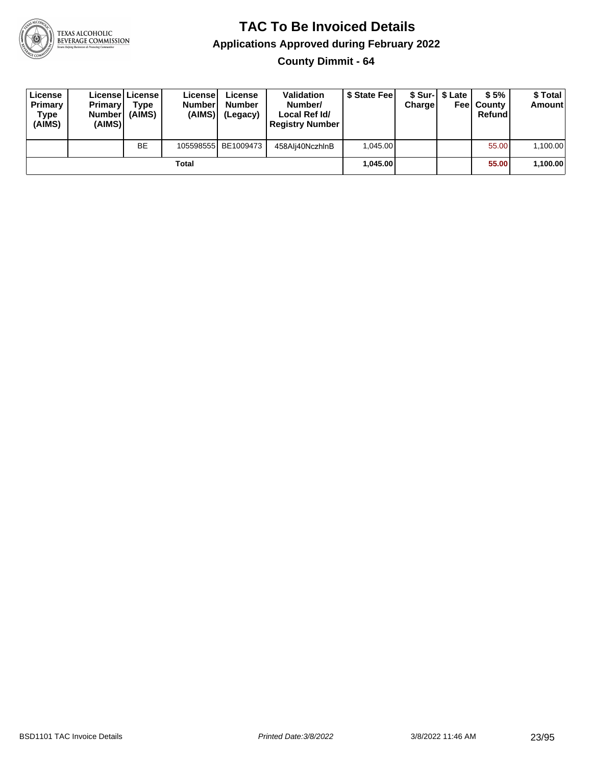

**County Dimmit - 64**

| License<br>Primary<br><b>Type</b><br>(AIMS) | <b>Primary</b><br><b>Number</b><br>(AIMS) | License   License  <br>Type<br>(AIMS) | License<br><b>Number</b><br>(AIMS) | License<br><b>Number</b><br>(Legacy) | <b>Validation</b><br>Number/<br>Local Ref Id/<br><b>Registry Number</b> | \$ State Feel | Charge | \$ Sur-1 \$ Late | \$5%<br><b>Feel County</b><br>Refund | \$ Total<br><b>Amount</b> |
|---------------------------------------------|-------------------------------------------|---------------------------------------|------------------------------------|--------------------------------------|-------------------------------------------------------------------------|---------------|--------|------------------|--------------------------------------|---------------------------|
|                                             |                                           | <b>BE</b>                             |                                    | 105598555 BE1009473                  | 458Ali40NczhlnB                                                         | 1.045.00      |        |                  | 55.00                                | 1,100.00                  |
|                                             |                                           |                                       | Total                              |                                      |                                                                         | 1.045.00      |        |                  | 55.00                                | 1,100.00                  |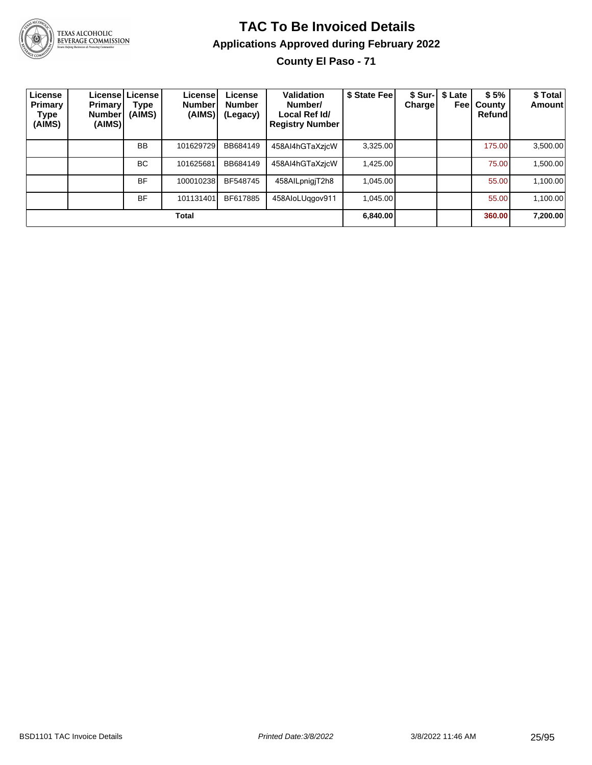

### **TAC To Be Invoiced Details Applications Approved during February 2022**

**County El Paso - 71**

| License<br>Primary<br>Type<br>(AIMS) | <b>Primary</b><br><b>Number</b><br>(AIMS) | License   License  <br>Type<br>(AIMS) | License!<br><b>Number</b><br>(AIMS) | License<br><b>Number</b><br>(Legacy) | Validation<br>Number/<br>Local Ref Id/<br><b>Registry Number</b> | \$ State Fee | <b>Charge</b> | \$ Sur-   \$ Late<br>Feel | \$5%<br>County<br>Refund | \$ Total<br><b>Amount</b> |
|--------------------------------------|-------------------------------------------|---------------------------------------|-------------------------------------|--------------------------------------|------------------------------------------------------------------|--------------|---------------|---------------------------|--------------------------|---------------------------|
|                                      |                                           | <b>BB</b>                             | 101629729                           | BB684149                             | 458AI4hGTaXzjcW                                                  | 3.325.00     |               |                           | 175.00                   | 3,500.00                  |
|                                      |                                           | BC.                                   | 101625681                           | BB684149                             | 458AI4hGTaXzicW                                                  | 1,425.00     |               |                           | 75.00                    | 1,500.00                  |
|                                      |                                           | <b>BF</b>                             | 100010238                           | BF548745                             | 458AILpnigjT2h8                                                  | 1,045.00     |               |                           | 55.00                    | 1,100.00                  |
|                                      |                                           | <b>BF</b>                             | 101131401                           | BF617885                             | 458AloLUggov911                                                  | 1.045.00     |               |                           | 55.00                    | 1,100.00                  |
| Total                                |                                           |                                       |                                     |                                      |                                                                  |              |               |                           | 360.00                   | 7,200.00                  |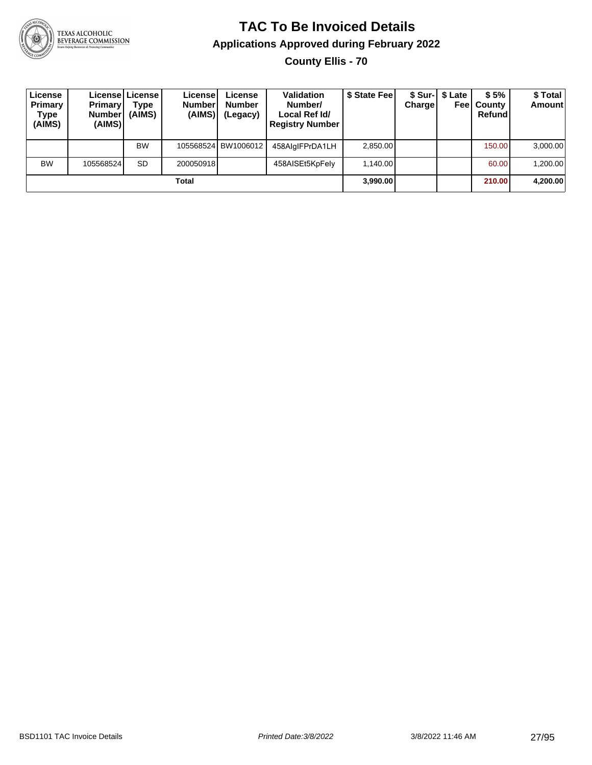

**County Ellis - 70**

| License<br>Primary<br>Type<br>(AIMS) | <b>Primary</b><br><b>Number</b><br>(AIMS) | License License<br>Type<br>(AIMS) | <b>License!</b><br><b>Number</b><br>(AIMS) | License<br><b>Number</b><br>(Legacy) | <b>Validation</b><br>Number/<br>Local Ref Id/<br><b>Registry Number</b> | \$ State Fee | Charge | \$ Sur-  \$ Late | \$5%<br><b>Feel County</b><br>Refund | \$ Total<br>Amount |
|--------------------------------------|-------------------------------------------|-----------------------------------|--------------------------------------------|--------------------------------------|-------------------------------------------------------------------------|--------------|--------|------------------|--------------------------------------|--------------------|
|                                      |                                           | <b>BW</b>                         |                                            | 105568524 BW1006012                  | 458AlglFPrDA1LH                                                         | 2,850.00     |        |                  | 150.00                               | 3,000.00           |
| <b>BW</b>                            | 105568524                                 | <b>SD</b>                         | 200050918                                  |                                      | 458AISEt5KpFely                                                         | 1.140.00     |        |                  | 60.00                                | 1,200.00           |
| Total                                |                                           |                                   |                                            |                                      |                                                                         |              |        |                  | 210.00                               | 4,200.00           |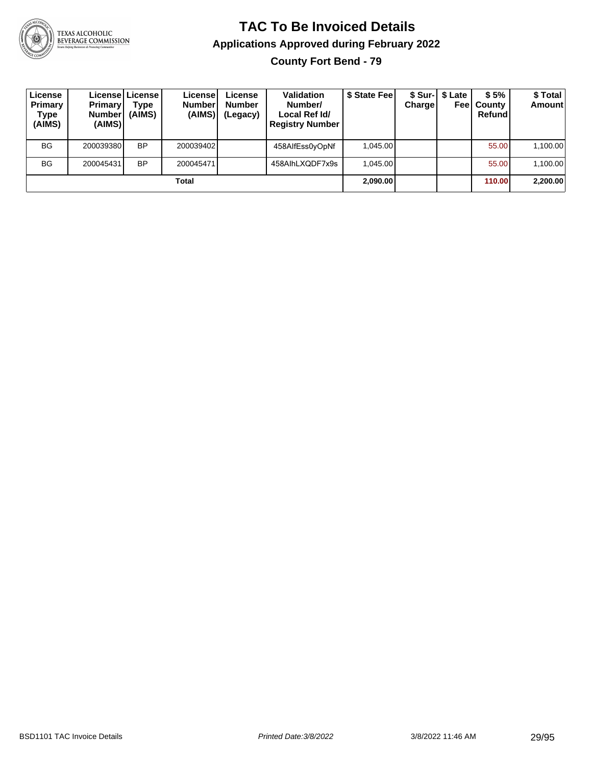

**County Fort Bend - 79**

| License<br>Primary<br>Type<br>(AIMS) | <b>Primary</b><br><b>Number</b><br>(AIMS) | License   License  <br>Type<br>(AIMS) | License<br><b>Number</b><br>(AIMS) | License<br><b>Number</b><br>(Legacy) | <b>Validation</b><br>Number/<br>Local Ref Id/<br><b>Registry Number</b> | \$ State Fee | Charge | \$ Sur-1 \$ Late<br>Feel | \$5%<br>County<br>Refund | \$Total<br><b>Amount</b> |
|--------------------------------------|-------------------------------------------|---------------------------------------|------------------------------------|--------------------------------------|-------------------------------------------------------------------------|--------------|--------|--------------------------|--------------------------|--------------------------|
| <b>BG</b>                            | 200039380                                 | <b>BP</b>                             | 200039402                          |                                      | 458AlfEss0yOpNf                                                         | 1.045.00     |        |                          | 55.00                    | 1,100.00                 |
| <b>BG</b>                            | 200045431                                 | <b>BP</b>                             | 200045471                          |                                      | 458AlhLXQDF7x9s                                                         | 1.045.00     |        |                          | 55.00                    | 1,100.00                 |
| Total                                |                                           |                                       |                                    |                                      |                                                                         | 2,090.00     |        |                          | 110.00                   | 2,200.00                 |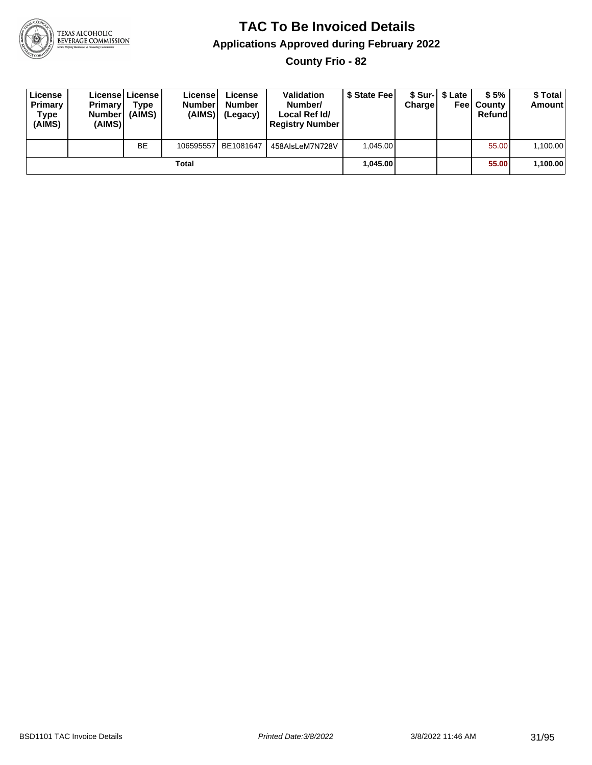

**County Frio - 82**

| License<br>Primary<br>Type<br>(AIMS) | <b>Primary</b><br><b>Number</b><br>(AIMS) | <b>License   License</b><br>Type<br>(AIMS) | License<br><b>Number</b><br>(AIMS) | License<br>Number<br>(Legacy) | <b>Validation</b><br>Number/<br>Local Ref Id/<br><b>Registry Number</b> | \$ State Feel | Charge | \$ Sur-1 \$ Late | \$5%<br><b>Feel County</b><br>Refund | \$ Total<br><b>Amount</b> |
|--------------------------------------|-------------------------------------------|--------------------------------------------|------------------------------------|-------------------------------|-------------------------------------------------------------------------|---------------|--------|------------------|--------------------------------------|---------------------------|
|                                      |                                           | <b>BE</b>                                  | 106595557                          | BE1081647                     | 458AlsLeM7N728V                                                         | 1.045.00      |        |                  | 55.00                                | 1,100.00                  |
| Total                                |                                           |                                            |                                    |                               |                                                                         | 1.045.00      |        |                  | 55.00                                | 1,100.00                  |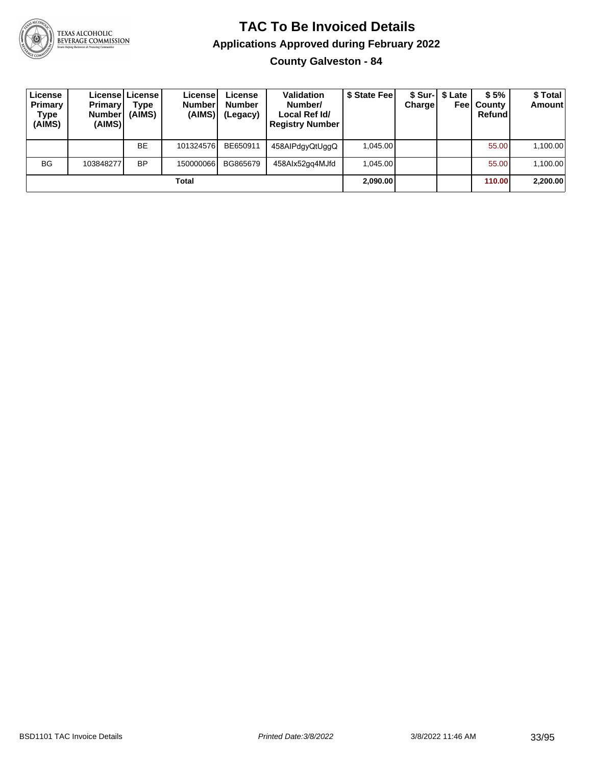

**County Galveston - 84**

| License<br>Primary<br>Type<br>(AIMS) | <b>Primary</b><br><b>Number</b><br>(AIMS) | License   License  <br>Type<br>(AIMS) | License<br><b>Number</b><br>(AIMS) | License<br><b>Number</b><br>(Legacy) | Validation<br>Number/<br>Local Ref Id/<br><b>Registry Number</b> | \$ State Fee | Chargel  | \$ Sur-1 \$ Late<br>Feel | \$5%<br>County<br>Refund | \$ Total<br><b>Amount</b> |
|--------------------------------------|-------------------------------------------|---------------------------------------|------------------------------------|--------------------------------------|------------------------------------------------------------------|--------------|----------|--------------------------|--------------------------|---------------------------|
|                                      |                                           | <b>BE</b>                             | 101324576                          | BE650911                             | 458AlPdgyQtUggQ                                                  | 1.045.00     |          |                          | 55.00                    | 1,100.00                  |
| <b>BG</b>                            | 103848277                                 | <b>BP</b>                             | 150000066                          | BG865679                             | 458Alx52gg4MJfd                                                  | 1.045.00     |          |                          | 55.00                    | 1,100.00                  |
| Total                                |                                           |                                       |                                    |                                      |                                                                  |              | 2,090.00 |                          | 110.00                   | 2,200.00                  |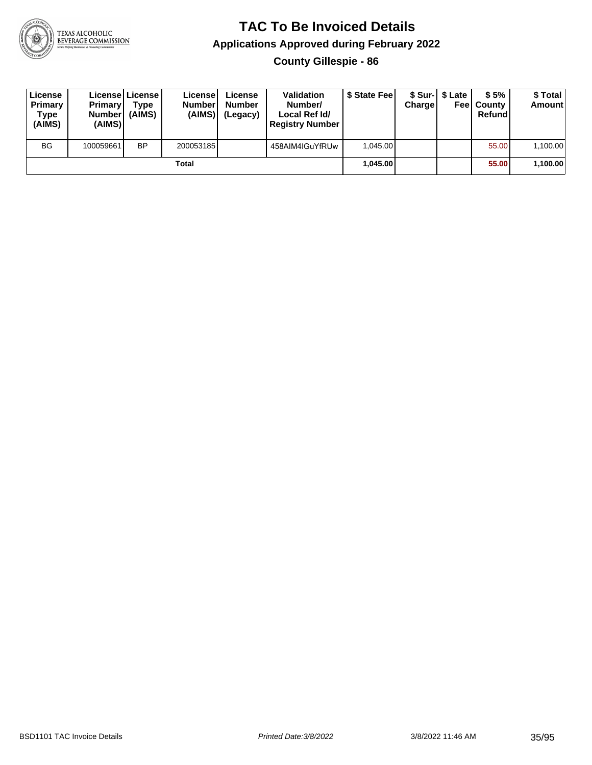

**County Gillespie - 86**

| License<br>Primary<br>Type<br>(AIMS) | <b>Primary</b><br><b>Number</b><br>(AIMS) | <b>Licensel License I</b><br>Type<br>(AIMS) | Licensel<br><b>Number</b><br>(AIMS) | License<br><b>Number</b><br>(Legacy) | <b>Validation</b><br>Number/<br>Local Ref Id/<br><b>Registry Number</b> | \$ State Feel | Charge | \$ Sur-1 \$ Late | \$5%<br><b>Feel County</b><br>Refund | \$ Total<br><b>Amount</b> |
|--------------------------------------|-------------------------------------------|---------------------------------------------|-------------------------------------|--------------------------------------|-------------------------------------------------------------------------|---------------|--------|------------------|--------------------------------------|---------------------------|
| <b>BG</b>                            | 100059661                                 | <b>BP</b>                                   | 200053185                           |                                      | 458AIM4IGuYfRUw                                                         | 1.045.00      |        |                  | 55.00                                | 1,100.00                  |
| Total                                |                                           |                                             |                                     |                                      |                                                                         | 1.045.00      |        |                  | 55.00                                | 1,100.00                  |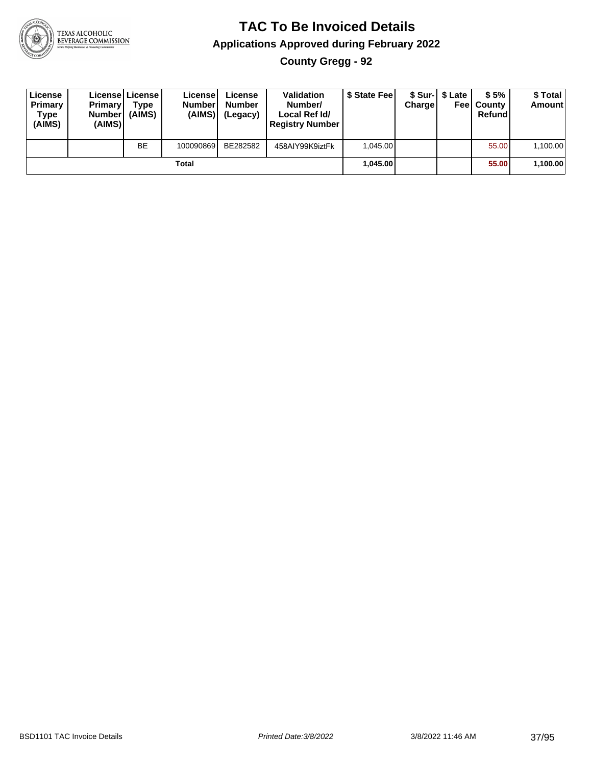

#### **TAC To Be Invoiced Details Applications Approved during February 2022 County Gregg - 92**

| License<br>Primary<br>Type<br>(AIMS) | <b>Primary</b><br><b>Number</b><br>(AIMS) | Licensel License<br>Type<br>(AIMS) | License<br><b>Number</b><br>(AIMS) | License<br><b>Number</b><br>(Legacy) | <b>Validation</b><br>Number/<br>Local Ref Id/<br><b>Registry Number</b> | \$ State Fee | Chargel | \$ Sur-1 \$ Late | \$5%<br><b>Feel County</b><br>Refund | \$ Total<br><b>Amount</b> |
|--------------------------------------|-------------------------------------------|------------------------------------|------------------------------------|--------------------------------------|-------------------------------------------------------------------------|--------------|---------|------------------|--------------------------------------|---------------------------|
|                                      |                                           | BE                                 | 100090869                          | BE282582                             | 458AIY99K9iztFk                                                         | 1.045.00     |         |                  | 55.00                                | 1,100.00                  |
|                                      |                                           |                                    | Total                              |                                      |                                                                         | 1,045.00     |         |                  | 55.00                                | 1,100.00                  |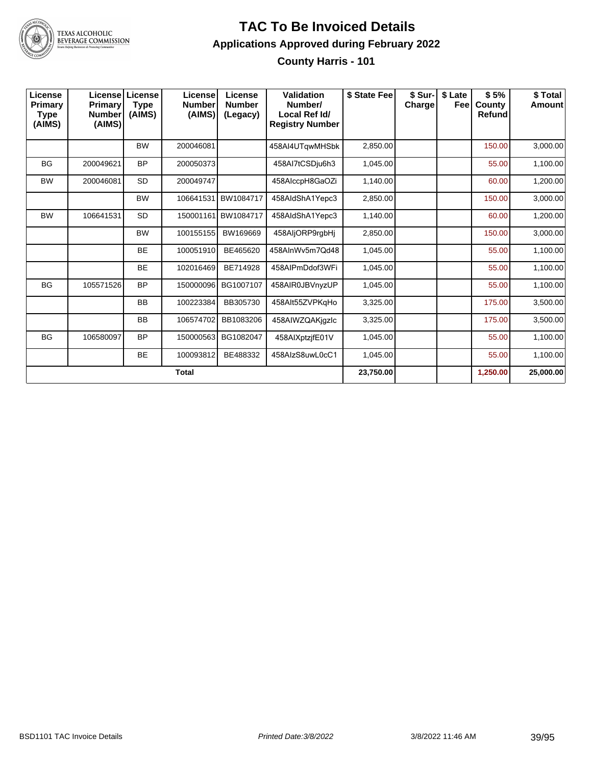

**County Harris - 101**

| License<br>Primary<br><b>Type</b><br>(AIMS) | <b>Primary</b><br><b>Number</b><br>(AIMS) | Licensel License<br><b>Type</b><br>(AIMS) | License<br><b>Number</b><br>(AIMS) | License<br><b>Number</b><br>(Legacy) | <b>Validation</b><br>Number/<br>Local Ref Id/<br><b>Registry Number</b> | \$ State Fee | \$ Sur-<br>Charge | \$ Late<br>Feel | \$5%<br>County<br><b>Refund</b> | \$Total<br><b>Amount</b> |
|---------------------------------------------|-------------------------------------------|-------------------------------------------|------------------------------------|--------------------------------------|-------------------------------------------------------------------------|--------------|-------------------|-----------------|---------------------------------|--------------------------|
|                                             |                                           | <b>BW</b>                                 | 200046081                          |                                      | 458AI4UTgwMHSbk                                                         | 2,850.00     |                   |                 | 150.00                          | 3,000.00                 |
| <b>BG</b>                                   | 200049621                                 | <b>BP</b>                                 | 200050373                          |                                      | 458Al7tCSDju6h3                                                         | 1,045.00     |                   |                 | 55.00                           | 1,100.00                 |
| <b>BW</b>                                   | 200046081                                 | <b>SD</b>                                 | 200049747                          |                                      | 458AlccpH8GaOZi                                                         | 1,140.00     |                   |                 | 60.00                           | 1,200.00                 |
|                                             |                                           | <b>BW</b>                                 | 106641531                          | <b>BW1084717</b>                     | 458AldShA1Yepc3                                                         | 2,850.00     |                   |                 | 150.00                          | 3,000.00                 |
| <b>BW</b>                                   | 106641531                                 | <b>SD</b>                                 | 150001161                          | <b>BW1084717</b>                     | 458AldShA1Yepc3                                                         | 1,140.00     |                   |                 | 60.00                           | 1,200.00                 |
|                                             |                                           | <b>BW</b>                                 | 100155155                          | BW169669                             | 458AljORP9rgbHj                                                         | 2,850.00     |                   |                 | 150.00                          | 3,000.00                 |
|                                             |                                           | <b>BE</b>                                 | 100051910                          | BE465620                             | 458AInWv5m7Qd48                                                         | 1,045.00     |                   |                 | 55.00                           | 1,100.00                 |
|                                             |                                           | <b>BE</b>                                 | 102016469                          | BE714928                             | 458AIPmDdof3WFi                                                         | 1,045.00     |                   |                 | 55.00                           | 1,100.00                 |
| <b>BG</b>                                   | 105571526                                 | <b>BP</b>                                 | 150000096                          | BG1007107                            | 458AIR0JBVnyzUP                                                         | 1,045.00     |                   |                 | 55.00                           | 1,100.00                 |
|                                             |                                           | <b>BB</b>                                 | 100223384                          | BB305730                             | 458Alt55ZVPKgHo                                                         | 3,325.00     |                   |                 | 175.00                          | 3,500.00                 |
|                                             |                                           | <b>BB</b>                                 | 106574702                          | BB1083206                            | 458AIWZQAKjqzlc                                                         | 3,325.00     |                   |                 | 175.00                          | 3,500.00                 |
| <b>BG</b>                                   | 106580097                                 | <b>BP</b>                                 | 150000563                          | BG1082047                            | 458AIXptzifE01V                                                         | 1,045.00     |                   |                 | 55.00                           | 1,100.00                 |
|                                             |                                           | <b>BE</b>                                 | 100093812                          | BE488332                             | 458AIzS8uwL0cC1                                                         | 1,045.00     |                   |                 | 55.00                           | 1,100.00                 |
|                                             |                                           |                                           | <b>Total</b>                       |                                      |                                                                         | 23,750.00    |                   |                 | 1,250.00                        | 25,000.00                |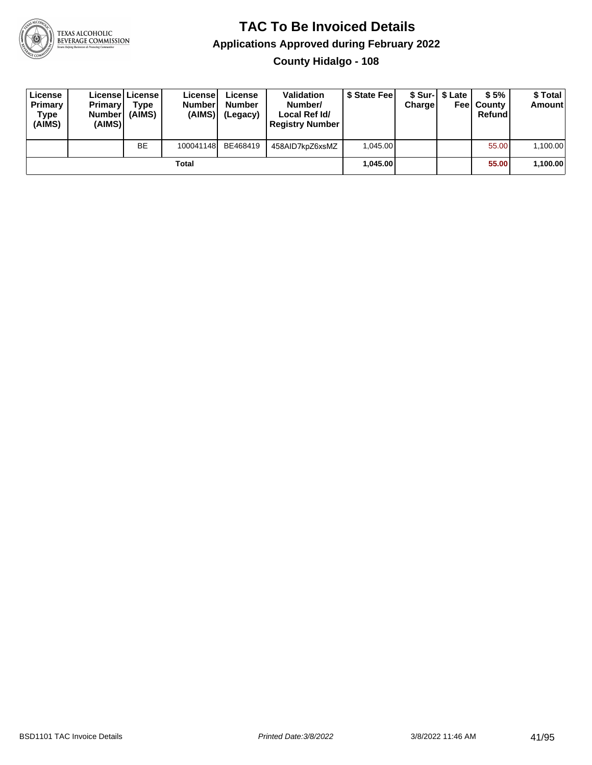

**County Hidalgo - 108**

| License<br>Primary<br><b>Type</b><br>(AIMS) | <b>Primary</b><br><b>Number</b><br>(AIMS) | Licensel License I<br>Type<br>(AIMS) | License<br><b>Numberl</b><br>(AIMS) | License<br><b>Number</b><br>(Legacy) | <b>Validation</b><br>Number/<br>Local Ref Id/<br><b>Registry Number</b> | \$ State Feel | Charge | \$ Sur-1 \$ Late | \$5%<br><b>Feel County</b><br>Refund | \$ Total<br>Amount |
|---------------------------------------------|-------------------------------------------|--------------------------------------|-------------------------------------|--------------------------------------|-------------------------------------------------------------------------|---------------|--------|------------------|--------------------------------------|--------------------|
|                                             |                                           | <b>BE</b>                            | 100041148                           | BE468419                             | 458AID7kpZ6xsMZ                                                         | 1.045.00      |        |                  | 55.00                                | 1,100.00           |
|                                             |                                           |                                      | Total                               |                                      |                                                                         | 1.045.00      |        |                  | 55.00                                | 1,100.00           |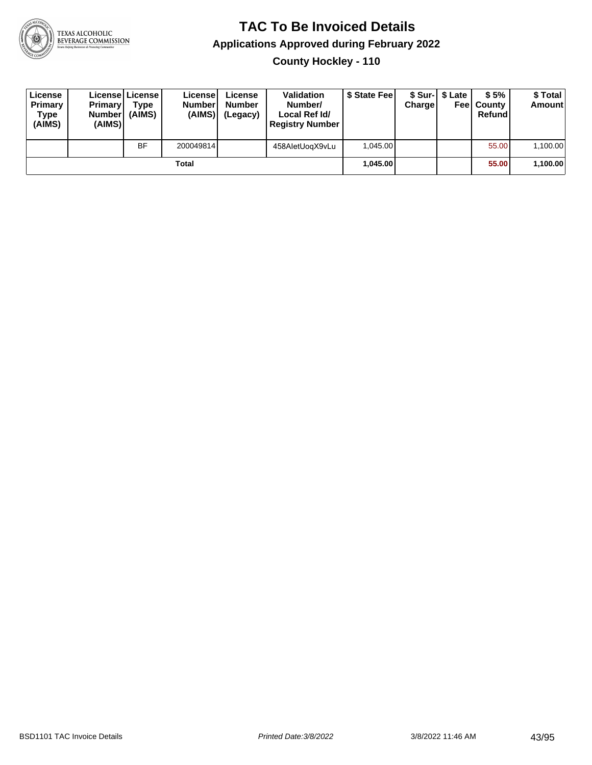

**County Hockley - 110**

| License<br>Primary<br>Type<br>(AIMS) | <b>Primary</b><br><b>Number</b><br>(AIMS) | Licensel License<br>Type<br>(AIMS) | License<br><b>Number</b><br>(AIMS) | License<br><b>Number</b><br>(Legacy) | <b>Validation</b><br>Number/<br>Local Ref Id/<br><b>Registry Number</b> | \$ State Feel | Charge | \$ Sur-1 \$ Late | \$5%<br><b>Feel County</b><br>Refund | \$ Total<br><b>Amount</b> |
|--------------------------------------|-------------------------------------------|------------------------------------|------------------------------------|--------------------------------------|-------------------------------------------------------------------------|---------------|--------|------------------|--------------------------------------|---------------------------|
|                                      |                                           | <b>BF</b>                          | 200049814                          |                                      | 458AletUogX9vLu                                                         | 1.045.00      |        |                  | 55.00                                | 1,100.00                  |
|                                      |                                           |                                    | Total                              |                                      |                                                                         | 1.045.00      |        |                  | 55.00                                | 1,100.00                  |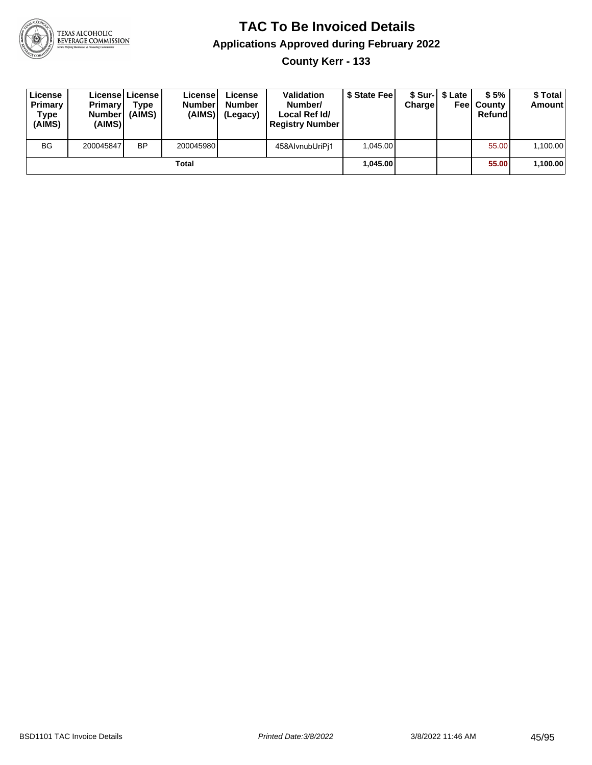

**County Kerr - 133**

| License<br>Primary<br>Type<br>(AIMS) | <b>Primary</b><br><b>Number</b><br>(AIMS) | License   License  <br>Type<br>(AIMS) | License<br><b>Number</b><br>(AIMS) | License<br><b>Number</b><br>(Legacy) | <b>Validation</b><br>Number/<br>Local Ref Id/<br><b>Registry Number</b> | \$ State Fee | Charge | \$ Sur-1 \$ Late | \$5%<br><b>Feel County</b><br>Refund | \$ Total<br><b>Amount</b> |
|--------------------------------------|-------------------------------------------|---------------------------------------|------------------------------------|--------------------------------------|-------------------------------------------------------------------------|--------------|--------|------------------|--------------------------------------|---------------------------|
| <b>BG</b>                            | 200045847                                 | <b>BP</b>                             | 200045980                          |                                      | 458AlvnubUriPi1                                                         | 1,045.00     |        |                  | 55.00                                | 1,100.00                  |
|                                      |                                           |                                       | Total                              |                                      |                                                                         | 1.045.00     |        |                  | 55.00                                | 1,100.00                  |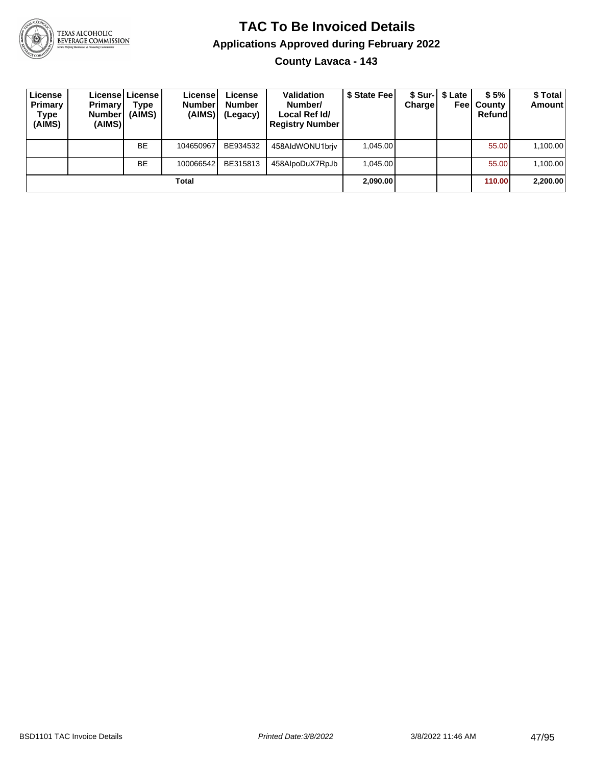

#### **TAC To Be Invoiced Details Applications Approved during February 2022 County Lavaca - 143**

| License<br>Primary<br>Type<br>(AIMS) | <b>Primary</b><br><b>Number</b><br>(AIMS) | Licensel License I<br>Type<br>(AIMS) | Licensel<br><b>Numberl</b><br>(AIMS) | License<br><b>Number</b><br>(Legacy) | <b>Validation</b><br>Number/<br>Local Ref Id/<br><b>Registry Number</b> | \$ State Feel | <b>Charge</b> | \$ Sur-1 \$ Late<br>Feel | \$5%<br>County<br>Refund | \$ Total<br><b>Amount</b> |
|--------------------------------------|-------------------------------------------|--------------------------------------|--------------------------------------|--------------------------------------|-------------------------------------------------------------------------|---------------|---------------|--------------------------|--------------------------|---------------------------|
|                                      |                                           | <b>BE</b>                            | 104650967                            | BE934532                             | 458AldWONU1briv                                                         | 1.045.00      |               |                          | 55.00                    | 1,100.00                  |
|                                      |                                           | <b>BE</b>                            | 100066542                            | BE315813                             | 458AlpoDuX7RpJb                                                         | 1.045.00      |               |                          | 55.00                    | 1,100.00                  |
|                                      |                                           |                                      | Total                                |                                      |                                                                         | 2,090.00      |               |                          | 110.00                   | 2,200.00                  |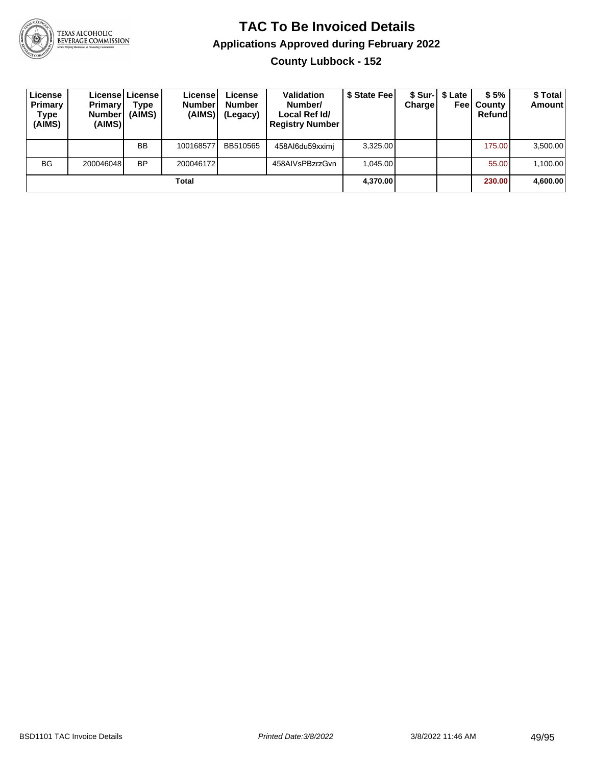

**County Lubbock - 152**

| License<br>Primary<br><b>Type</b><br>(AIMS) | <b>Primary</b><br><b>Number</b><br>(AIMS) | Licensel License I<br><b>Type</b><br>(AIMS) | License!<br><b>Number</b><br>(AIMS) | License<br><b>Number</b><br>(Legacy) | <b>Validation</b><br>Number/<br>Local Ref Id/<br><b>Registry Number</b> | \$ State Feel | Charge | \$ Sur-1 \$ Late<br>Feel | \$5%<br>County<br>Refund | \$ Total<br><b>Amount</b> |
|---------------------------------------------|-------------------------------------------|---------------------------------------------|-------------------------------------|--------------------------------------|-------------------------------------------------------------------------|---------------|--------|--------------------------|--------------------------|---------------------------|
|                                             |                                           | <b>BB</b>                                   | 100168577                           | BB510565                             | 458Al6du59xximi                                                         | 3,325.00      |        |                          | 175.00                   | 3,500.00                  |
| <b>BG</b>                                   | 200046048                                 | <b>BP</b>                                   | 200046172                           |                                      | 458AIVsPBzrzGvn                                                         | 1.045.00      |        |                          | 55.00                    | 1,100.00                  |
|                                             |                                           |                                             | Total                               |                                      |                                                                         | 4,370.00      |        |                          | 230.00                   | 4,600.00                  |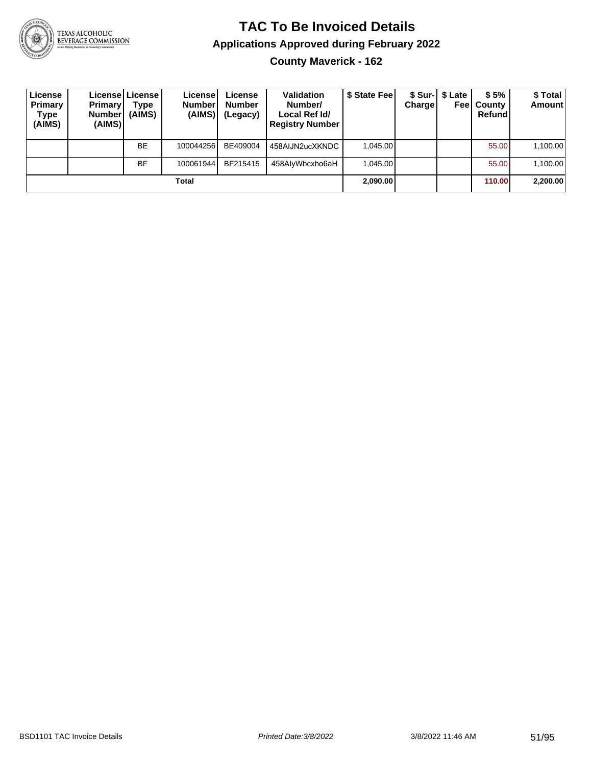

# **TAC To Be Invoiced Details Applications Approved during February 2022**

**County Maverick - 162**

| License<br>Primary<br>Type<br>(AIMS) | <b>Primary</b><br><b>Number</b><br>(AIMS) | Licensel License I<br>Type<br>(AIMS) | License<br><b>Number</b><br>(AIMS) | License<br><b>Number</b><br>(Legacy) | <b>Validation</b><br>Number/<br>Local Ref Id/<br><b>Registry Number</b> | \$ State Feel | Charge | \$ Sur-1 \$ Late<br>Feel | \$5%<br>County<br>Refund | \$ Total<br><b>Amount</b> |
|--------------------------------------|-------------------------------------------|--------------------------------------|------------------------------------|--------------------------------------|-------------------------------------------------------------------------|---------------|--------|--------------------------|--------------------------|---------------------------|
|                                      |                                           | <b>BE</b>                            | 100044256                          | BE409004                             | 458AIJN2ucXKNDC                                                         | 1.045.00      |        |                          | 55.00                    | 1,100.00                  |
|                                      |                                           | <b>BF</b>                            | 100061944                          | BF215415                             | 458AlyWbcxho6aH                                                         | 1.045.00      |        |                          | 55.00                    | 1,100.00                  |
|                                      |                                           |                                      | Total                              |                                      |                                                                         | 2,090.00      |        |                          | 110.00                   | 2,200.00                  |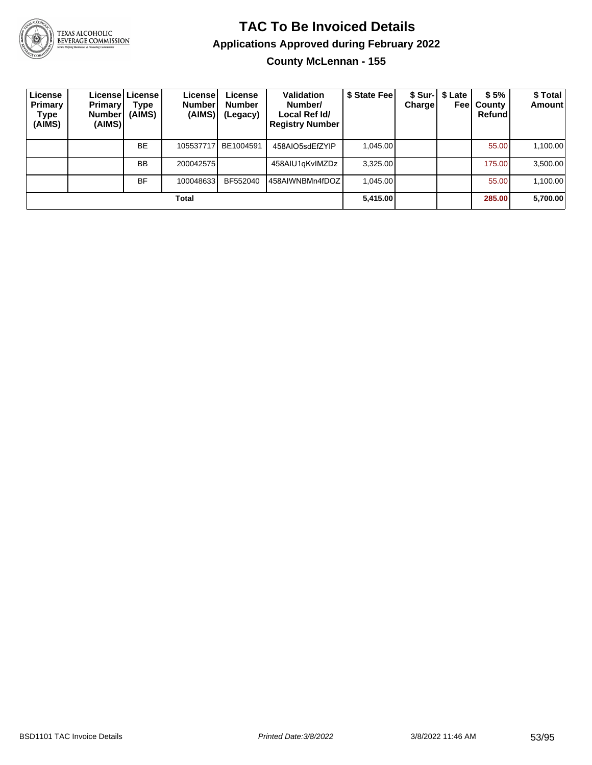

#### **TAC To Be Invoiced Details Applications Approved during February 2022 County McLennan - 155**

| License<br>Primary<br><b>Type</b><br>(AIMS) | <b>Primary</b><br><b>Number</b><br>(AIMS) | License License<br>Type<br>(AIMS) | License<br><b>Number</b><br>(AIMS) | License<br><b>Number</b><br>(Legacy) | <b>Validation</b><br>Number/<br>Local Ref Id/<br><b>Registry Number</b> | \$ State Fee | <b>Charge</b> | \$ Sur-1 \$ Late<br>Feel | \$5%<br>County<br>Refund | \$ Total<br>Amount |
|---------------------------------------------|-------------------------------------------|-----------------------------------|------------------------------------|--------------------------------------|-------------------------------------------------------------------------|--------------|---------------|--------------------------|--------------------------|--------------------|
|                                             |                                           | <b>BE</b>                         | 105537717                          | BE1004591                            | 458AIO5sdEfZYIP                                                         | 1.045.00     |               |                          | 55.00                    | 1,100.00           |
|                                             |                                           | <b>BB</b>                         | 200042575                          |                                      | 458AIU1gKvIMZDz                                                         | 3,325.00     |               |                          | 175.00                   | 3,500.00           |
|                                             |                                           | <b>BF</b>                         | 100048633                          | BF552040                             | 458AIWNBMn4fDOZ                                                         | 1.045.00     |               |                          | 55.00                    | 1,100.00           |
|                                             |                                           |                                   | Total                              |                                      |                                                                         | 5,415.00     |               |                          | 285.00                   | 5,700.00           |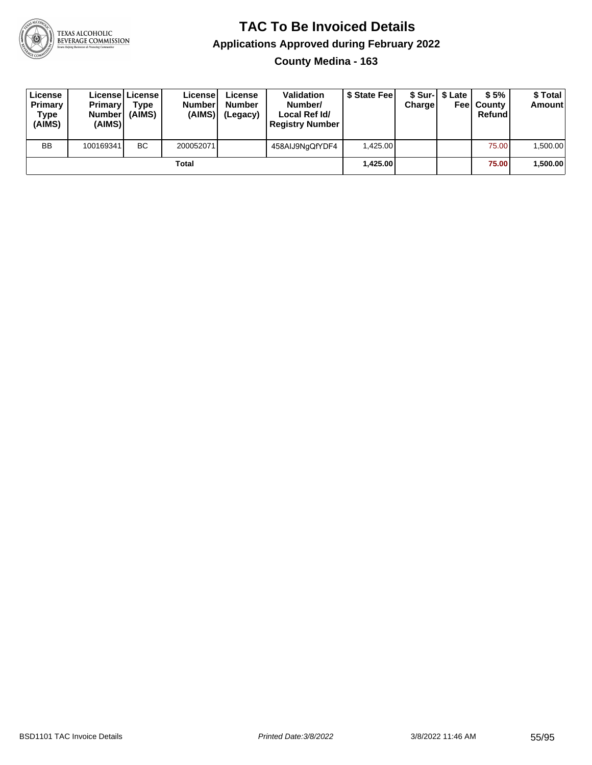

#### **TAC To Be Invoiced Details Applications Approved during February 2022 County Medina - 163**

| License<br>Primary<br>Type<br>(AIMS) | <b>Primary</b><br>Number<br>(AIMS) | Licensel License I<br>Type<br>(AIMS) | License<br><b>Number</b><br>(AIMS) | License<br><b>Number</b><br>(Legacy) | Validation<br>Number/<br>Local Ref Id/<br><b>Registry Number</b> | \$ State Fee | <b>Charge</b> | \$ Sur-1 \$ Late | \$5%<br><b>Feel County</b><br>Refund | \$ Total<br><b>Amount</b> |
|--------------------------------------|------------------------------------|--------------------------------------|------------------------------------|--------------------------------------|------------------------------------------------------------------|--------------|---------------|------------------|--------------------------------------|---------------------------|
| <b>BB</b>                            | 100169341                          | BC.                                  | 200052071                          |                                      | 458AIJ9NgQfYDF4                                                  | 1.425.00     |               |                  | 75.00                                | 1.500.00                  |
|                                      |                                    |                                      | Total                              |                                      |                                                                  | 1,425.00     |               |                  | 75.00                                | 1,500.00                  |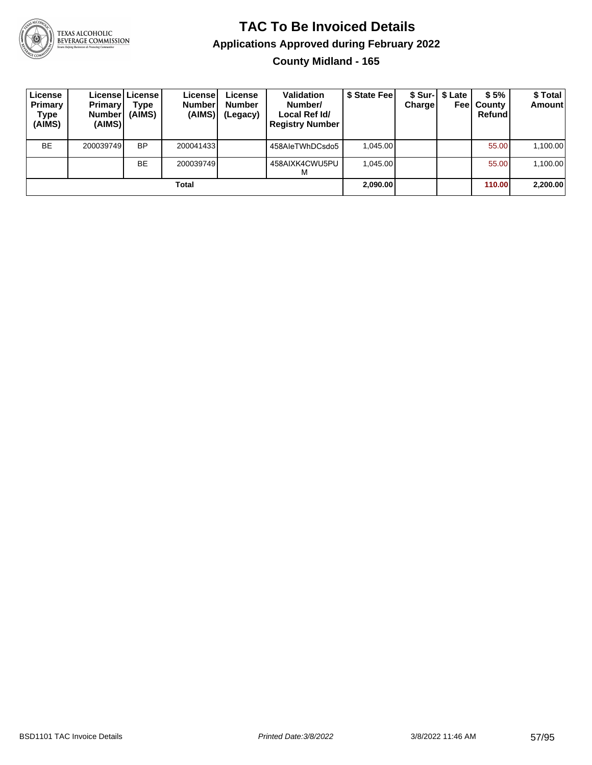

#### **TAC To Be Invoiced Details Applications Approved during February 2022 County Midland - 165**

| License<br>Primary<br>Type<br>(AIMS) | <b>Primary</b><br><b>Number</b><br>(AIMS) | Licensel License I<br>Type<br>(AIMS) | License<br><b>Number</b><br>(AIMS) | License<br><b>Number</b><br>(Legacy) | <b>Validation</b><br>Number/<br>Local Ref Id/<br><b>Registry Number</b> | \$ State Fee | <b>Charge</b> | \$ Sur-1 \$ Late | \$5%<br><b>Feel County</b><br>Refund | \$ Total<br><b>Amount</b> |
|--------------------------------------|-------------------------------------------|--------------------------------------|------------------------------------|--------------------------------------|-------------------------------------------------------------------------|--------------|---------------|------------------|--------------------------------------|---------------------------|
| <b>BE</b>                            | 200039749                                 | <b>BP</b>                            | 200041433                          |                                      | 458AleTWhDCsdo5                                                         | 1.045.00     |               |                  | 55.00                                | 1,100.00                  |
|                                      |                                           | <b>BE</b>                            | 200039749                          |                                      | 458AIXK4CWU5PU<br>м                                                     | 1.045.00     |               |                  | 55.00                                | 1,100.00                  |
|                                      |                                           |                                      | Total                              |                                      |                                                                         | 2.090.00     |               |                  | <b>110.001</b>                       | 2,200.00                  |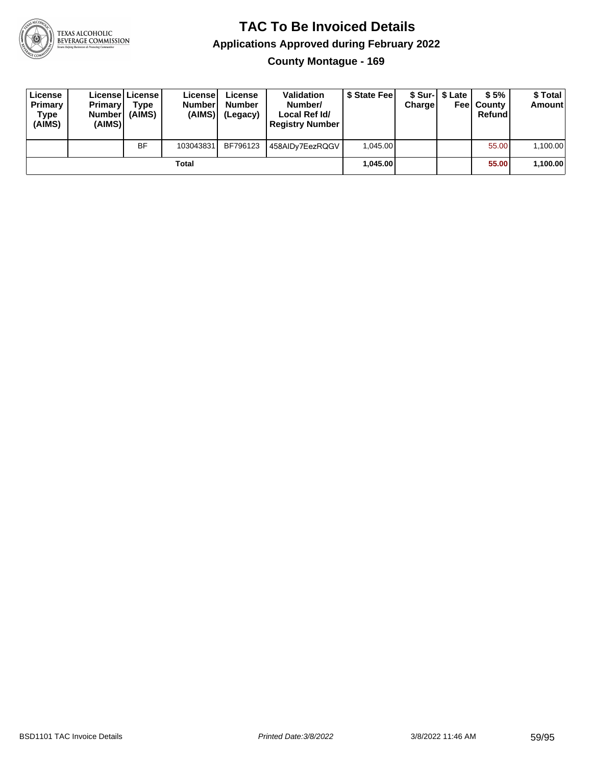

**County Montague - 169**

| License<br>Primary<br>Type<br>(AIMS) | <b>Primary</b><br>Number<br>(AIMS) | License License<br>Type<br>(AIMS) | License<br><b>Number</b><br>(AIMS) | License<br><b>Number</b><br>(Legacy) | <b>Validation</b><br>Number/<br>Local Ref Id/<br><b>Registry Number</b> | \$ State Feel | Charge | \$ Sur-1 \$ Late | \$5%<br><b>Feel County</b><br>Refund | \$ Total<br><b>Amount</b> |
|--------------------------------------|------------------------------------|-----------------------------------|------------------------------------|--------------------------------------|-------------------------------------------------------------------------|---------------|--------|------------------|--------------------------------------|---------------------------|
|                                      |                                    | <b>BF</b>                         | 103043831                          | BF796123                             | 458AIDy7EezRQGV                                                         | 1.045.00      |        |                  | 55.00                                | 1,100.00                  |
|                                      |                                    |                                   | Total                              |                                      |                                                                         | 1.045.00      |        |                  | 55.00                                | 1,100.00                  |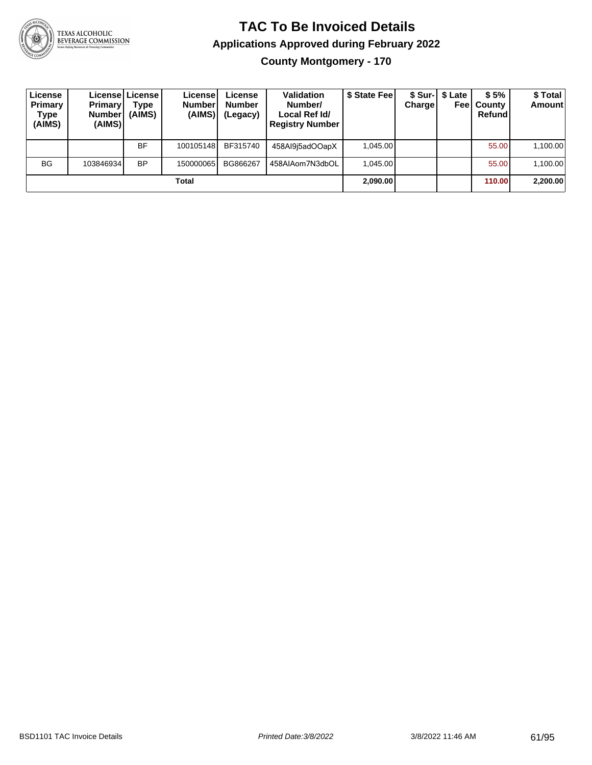

**County Montgomery - 170**

| License<br>Primary<br>Type<br>(AIMS) | <b>Primary</b><br><b>Number</b><br>(AIMS) | License   License  <br><b>Type</b><br>(AIMS) | License!<br><b>Number</b><br>(AIMS) | License<br><b>Number</b><br>(Legacy) | <b>Validation</b><br>Number/<br>Local Ref Id/<br><b>Registry Number</b> | \$ State Fee | Charge   | \$ Sur-1 \$ Late<br>Feel | \$5%<br>County<br>Refund | \$Total<br><b>Amount</b> |
|--------------------------------------|-------------------------------------------|----------------------------------------------|-------------------------------------|--------------------------------------|-------------------------------------------------------------------------|--------------|----------|--------------------------|--------------------------|--------------------------|
|                                      |                                           | <b>BF</b>                                    | 100105148                           | BF315740                             | 458Al9i5adOOapX                                                         | 1.045.00     |          |                          | 55.00                    | 1,100.00                 |
| <b>BG</b>                            | 103846934                                 | <b>BP</b>                                    | 150000065                           | BG866267                             | 458AIAom7N3dbOL                                                         | 1.045.00     |          |                          | 55.00                    | 1,100.00                 |
| Total                                |                                           |                                              |                                     |                                      |                                                                         |              | 2,090.00 |                          | 110.00                   | 2,200.00                 |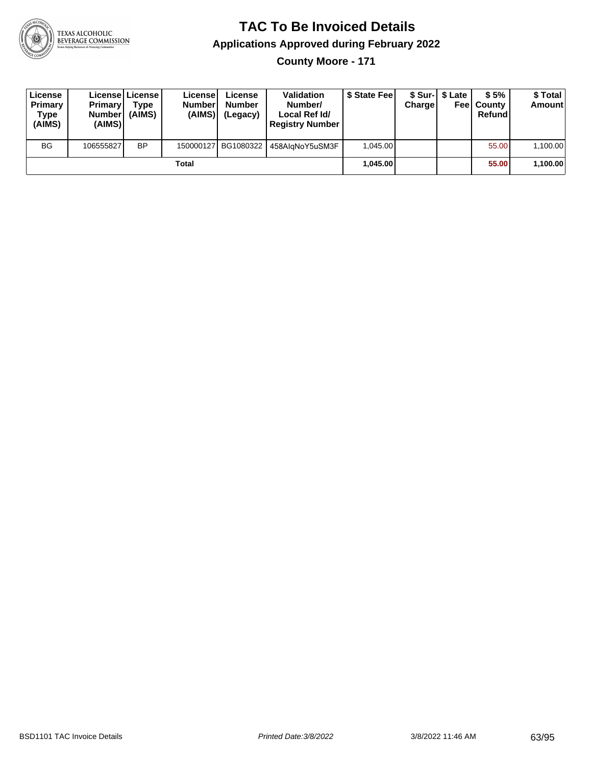

**County Moore - 171**

| License<br>Primary<br>Type<br>(AIMS) | <b>Primary</b><br><b>Number</b><br>(AIMS) | Licensel License I<br><b>Type</b><br>(AIMS) | License<br><b>Number</b><br>(AIMS) | License<br><b>Number</b><br>(Legacy) | <b>Validation</b><br>Number/<br>Local Ref Id/<br><b>Registry Number</b> | \$ State Feel | Charge | \$ Sur-1 \$ Late | \$5%<br><b>Feel County</b><br>Refund | \$ Total<br><b>Amount</b> |
|--------------------------------------|-------------------------------------------|---------------------------------------------|------------------------------------|--------------------------------------|-------------------------------------------------------------------------|---------------|--------|------------------|--------------------------------------|---------------------------|
| <b>BG</b>                            | 106555827                                 | <b>BP</b>                                   |                                    | 150000127 BG1080322                  | 458AlaNoY5uSM3F                                                         | 1.045.00      |        |                  | 55.00                                | 1,100.00                  |
| Total                                |                                           |                                             |                                    |                                      |                                                                         | 1.045.00      |        |                  | 55.00                                | 1,100.00                  |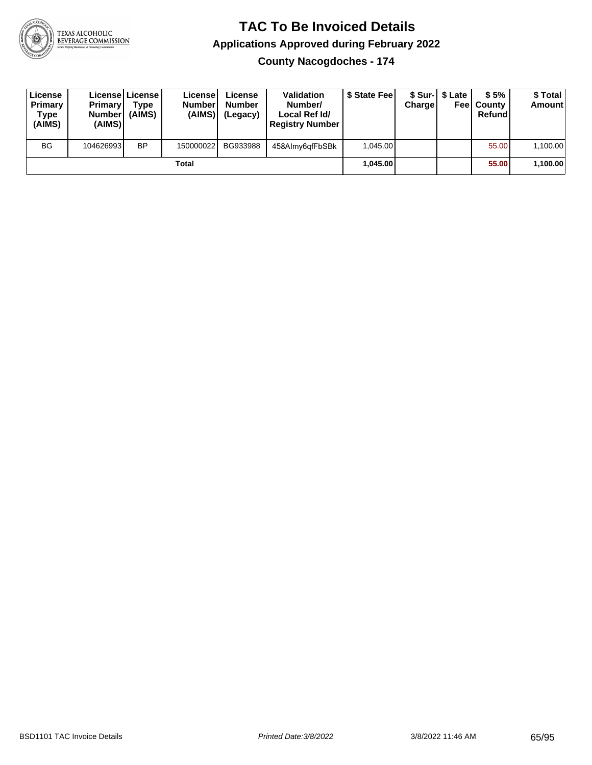

**County Nacogdoches - 174**

| License<br>Primary<br>Type<br>(AIMS) | <b>Primary</b><br>Number<br>(AIMS) | License   License  <br>Type<br>(AIMS) | License<br><b>Number</b><br>(AIMS) | License<br><b>Number</b><br>(Legacy) | <b>Validation</b><br>Number/<br>Local Ref Id/<br><b>Registry Number</b> | \$ State Feel | Charge   | \$ Sur-1 \$ Late | \$5%<br><b>Feel County</b><br>Refund | \$ Total<br><b>Amount</b> |
|--------------------------------------|------------------------------------|---------------------------------------|------------------------------------|--------------------------------------|-------------------------------------------------------------------------|---------------|----------|------------------|--------------------------------------|---------------------------|
| <b>BG</b>                            | 104626993                          | <b>BP</b>                             | 150000022                          | BG933988                             | 458Almy6qfFbSBk                                                         | 1.045.00      |          |                  | 55.00                                | 1,100.00                  |
| Total                                |                                    |                                       |                                    |                                      |                                                                         |               | 1.045.00 |                  | 55.00                                | 1,100.00                  |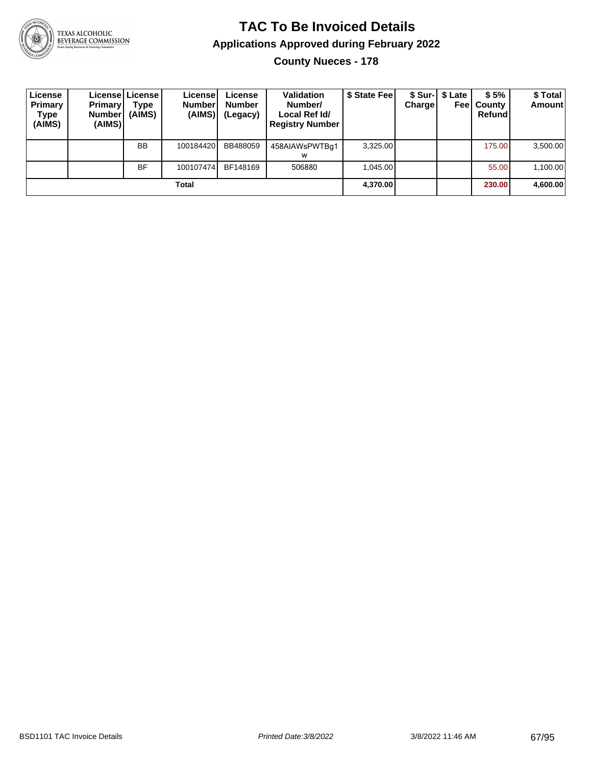

#### **TAC To Be Invoiced Details Applications Approved during February 2022 County Nueces - 178**

| License<br>Primary<br>Type<br>(AIMS) | <b>Primary</b><br>Number!<br>(AIMS) | License License I<br><b>Type</b><br>(AIMS) | Licensel<br><b>Number</b><br>(AIMS) | License<br><b>Number</b><br>(Legacy) | <b>Validation</b><br>Number/<br>Local Ref Id/<br><b>Registry Number</b> | \$ State Fee | Charge   | \$ Sur-1 \$ Late | \$5%<br><b>Feel County</b><br>Refund | \$ Total<br><b>Amount</b> |
|--------------------------------------|-------------------------------------|--------------------------------------------|-------------------------------------|--------------------------------------|-------------------------------------------------------------------------|--------------|----------|------------------|--------------------------------------|---------------------------|
|                                      |                                     | <b>BB</b>                                  | 100184420                           | BB488059                             | 458AIAWsPWTBg1<br>w                                                     | 3.325.00     |          |                  | 175.00                               | 3,500.00                  |
|                                      |                                     | <b>BF</b>                                  | 100107474                           | BF148169                             | 506880                                                                  | 1.045.00     |          |                  | 55.00                                | 1,100.00                  |
| Total                                |                                     |                                            |                                     |                                      |                                                                         |              | 4,370.00 |                  | 230.00                               | 4,600.00                  |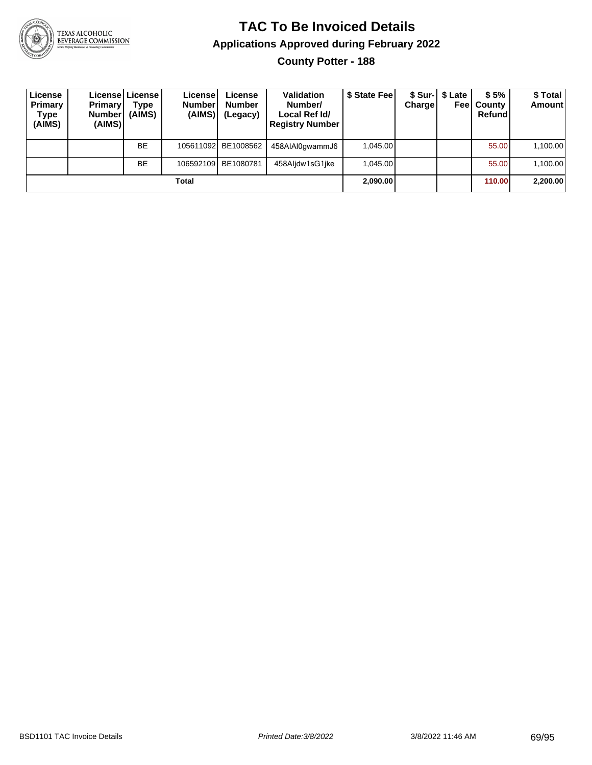

### **TAC To Be Invoiced Details Applications Approved during February 2022**

**County Potter - 188**

| License<br>Primary<br>Type<br>(AIMS) | <b>Primary</b><br><b>Number</b><br>(AIMS) | License   License  <br>Type<br>(AIMS) | License <sup>1</sup><br><b>Number</b><br>(AIMS) | License<br><b>Number</b><br>(Legacy) | <b>Validation</b><br>Number/<br>Local Ref Id/<br><b>Registry Number</b> | \$ State Feel | Charge | \$ Sur-   \$ Late<br>Feel | \$5%<br>County<br>Refund | \$Total<br><b>Amount</b> |
|--------------------------------------|-------------------------------------------|---------------------------------------|-------------------------------------------------|--------------------------------------|-------------------------------------------------------------------------|---------------|--------|---------------------------|--------------------------|--------------------------|
|                                      |                                           | <b>BE</b>                             |                                                 | 105611092 BE1008562                  | 458AIAI0gwammJ6                                                         | 1.045.00      |        |                           | 55.00                    | 1,100.00                 |
|                                      |                                           | <b>BE</b>                             |                                                 | 106592109 BE1080781                  | 458Aljdw1sG1jke                                                         | 1,045.00      |        |                           | 55.00                    | 1,100.00                 |
| Total                                |                                           |                                       |                                                 |                                      |                                                                         |               |        |                           | 110.00                   | 2,200.00                 |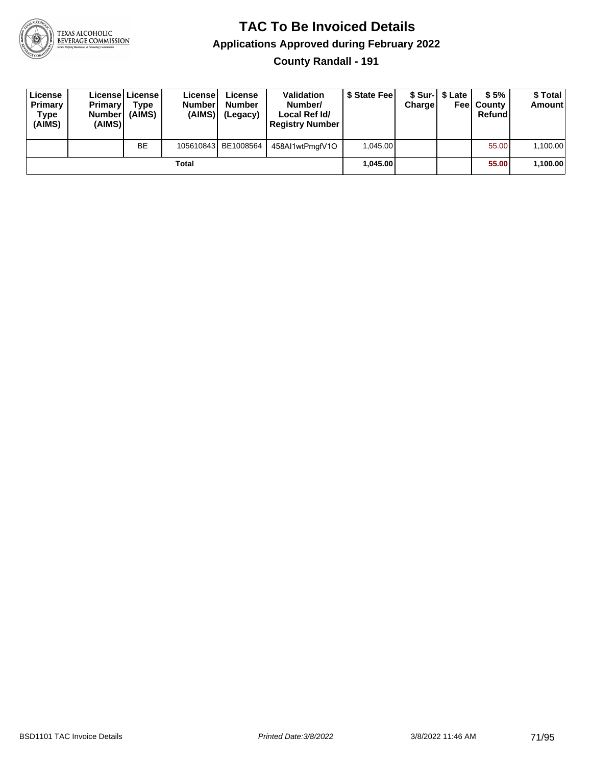

**County Randall - 191**

| License<br>Primary<br>Type<br>(AIMS) | <b>Primary</b><br><b>Number</b><br>(AIMS) | Licensel License<br><b>Type</b><br>(AIMS) | License<br><b>Number</b><br>(AIMS) | License<br><b>Number</b><br>(Legacy) | <b>Validation</b><br>Number/<br>Local Ref Id/<br><b>Registry Number</b> | \$ State Fee | Charge | \$ Sur-1 \$ Late | \$5%<br><b>Feel County</b><br>Refund | \$ Total<br><b>Amount</b> |
|--------------------------------------|-------------------------------------------|-------------------------------------------|------------------------------------|--------------------------------------|-------------------------------------------------------------------------|--------------|--------|------------------|--------------------------------------|---------------------------|
|                                      |                                           | <b>BE</b>                                 |                                    | 105610843 BE1008564                  | 458AI1wtPmgfV1O                                                         | 1.045.00     |        |                  | 55.00                                | 1,100.00                  |
| Total                                |                                           |                                           |                                    |                                      |                                                                         | 1.045.00     |        |                  | 55.00                                | 1,100.00                  |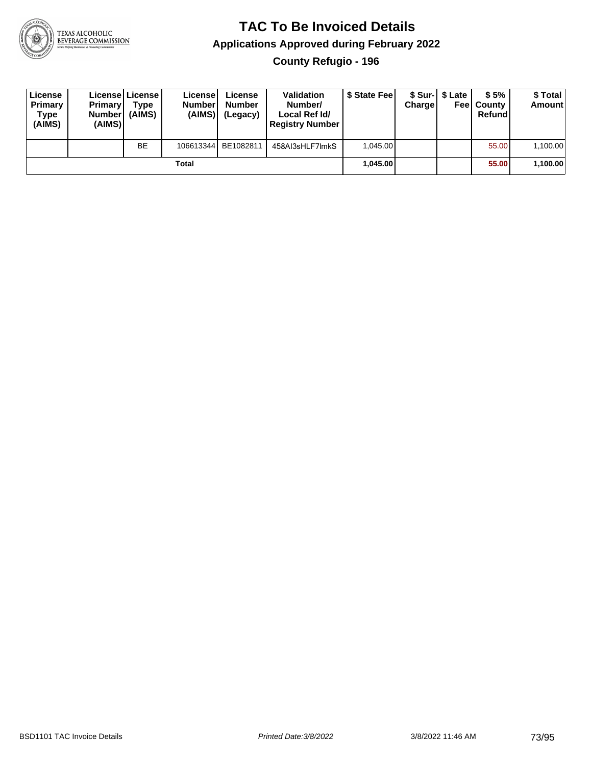

**County Refugio - 196**

| License<br>Primary<br>Type<br>(AIMS) | <b>Primary</b><br><b>Number</b><br>(AIMS) | License   License  <br>Type<br>(AIMS) | License<br><b>Number</b><br>(AIMS) | License<br><b>Number</b><br>(Legacy) | <b>Validation</b><br>Number/<br>Local Ref Id/<br><b>Registry Number</b> | \$ State Feel | Charge | \$ Sur-1 \$ Late | \$5%<br><b>Feel County</b><br>Refund | \$ Total<br><b>Amount</b> |
|--------------------------------------|-------------------------------------------|---------------------------------------|------------------------------------|--------------------------------------|-------------------------------------------------------------------------|---------------|--------|------------------|--------------------------------------|---------------------------|
|                                      |                                           | BE                                    | 106613344                          | BE1082811                            | 458AI3sHLF7ImkS                                                         | 1.045.00      |        |                  | 55.00                                | 1,100.00                  |
|                                      |                                           |                                       | Total                              |                                      |                                                                         | 1.045.00      |        |                  | 55.00                                | 1,100.00                  |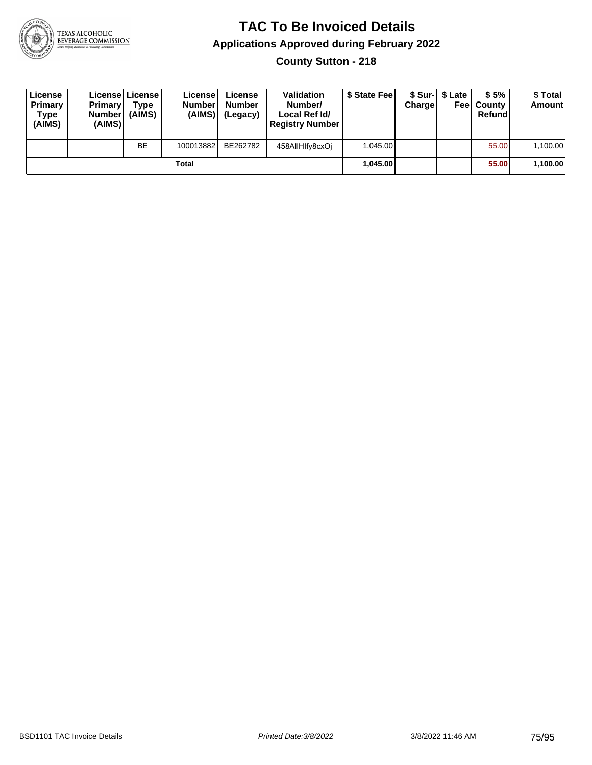

**County Sutton - 218**

| License<br>Primary<br>Type<br>(AIMS) | <b>Primary</b><br><b>Number</b><br>(AIMS) | License   License  <br>Type<br>(AIMS) | License<br><b>Number</b><br>(AIMS) | License<br><b>Number</b><br>(Legacy) | <b>Validation</b><br>Number/<br>Local Ref Id/<br><b>Registry Number</b> | \$ State Feel | Charge | \$ Sur-1 \$ Late | \$5%<br><b>Feel County</b><br>Refund | \$ Total<br><b>Amount</b> |
|--------------------------------------|-------------------------------------------|---------------------------------------|------------------------------------|--------------------------------------|-------------------------------------------------------------------------|---------------|--------|------------------|--------------------------------------|---------------------------|
|                                      |                                           | <b>BE</b>                             | 100013882                          | BE262782                             | 458AIIHIfy8cxOi                                                         | 1,045.00      |        |                  | 55.00                                | 1,100.00                  |
|                                      |                                           |                                       | Total                              |                                      |                                                                         | 1.045.00      |        |                  | 55.00                                | 1,100.00                  |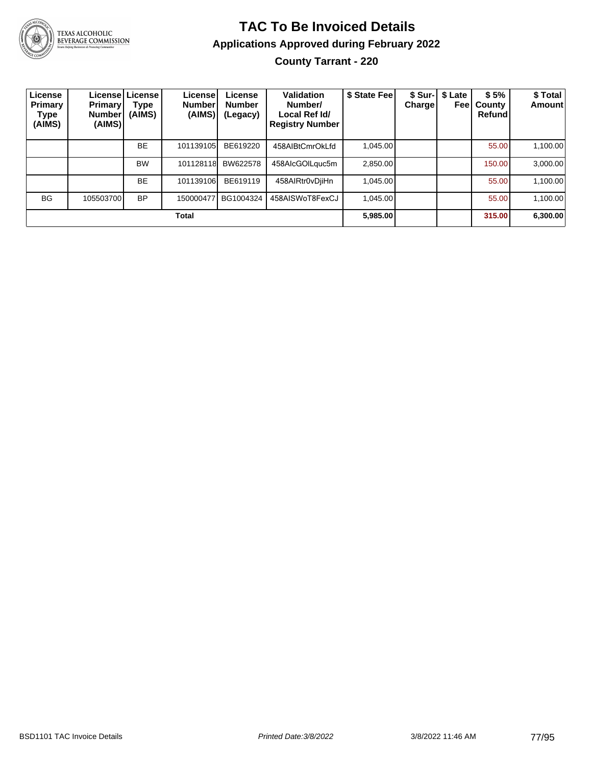

TEXAS ALCOHOLIC<br>BEVERAGE COMMISSION

### **TAC To Be Invoiced Details Applications Approved during February 2022 County Tarrant - 220**

| License<br>Primary<br>Type<br>(AIMS) | <b>Primary</b><br><b>Number</b><br>(AIMS) | License License I<br><b>Type</b><br>(AIMS) | License!<br><b>Number</b><br>(AIMS) | License<br><b>Number</b><br>(Legacy) | Validation<br>Number/<br>Local Ref Id/<br><b>Registry Number</b> | \$ State Fee | <b>Charge</b> | \$ Sur-   \$ Late<br>Feel | \$5%<br>County<br><b>Refund</b> | \$Total<br><b>Amount</b> |
|--------------------------------------|-------------------------------------------|--------------------------------------------|-------------------------------------|--------------------------------------|------------------------------------------------------------------|--------------|---------------|---------------------------|---------------------------------|--------------------------|
|                                      |                                           | <b>BE</b>                                  | 101139105                           | BE619220                             | 458AIBtCmrOkLfd                                                  | 1,045.00     |               |                           | 55.00                           | 1,100.00                 |
|                                      |                                           | <b>BW</b>                                  | 101128118                           | BW622578                             | 458AlcGOILguc5m                                                  | 2,850.00     |               |                           | 150.00                          | 3,000.00                 |
|                                      |                                           | <b>BE</b>                                  | 101139106                           | BE619119                             | 458AlRtr0vDjiHn                                                  | 1.045.00     |               |                           | 55.00                           | 1,100.00                 |
| <b>BG</b>                            | 105503700                                 | <b>BP</b>                                  | 150000477                           | BG1004324                            | 458AISWoT8FexCJ                                                  | 1.045.00     |               |                           | 55.00                           | 1,100.00                 |
|                                      |                                           |                                            | Total                               |                                      |                                                                  | 5,985.00     |               |                           | 315.00                          | 6,300.00                 |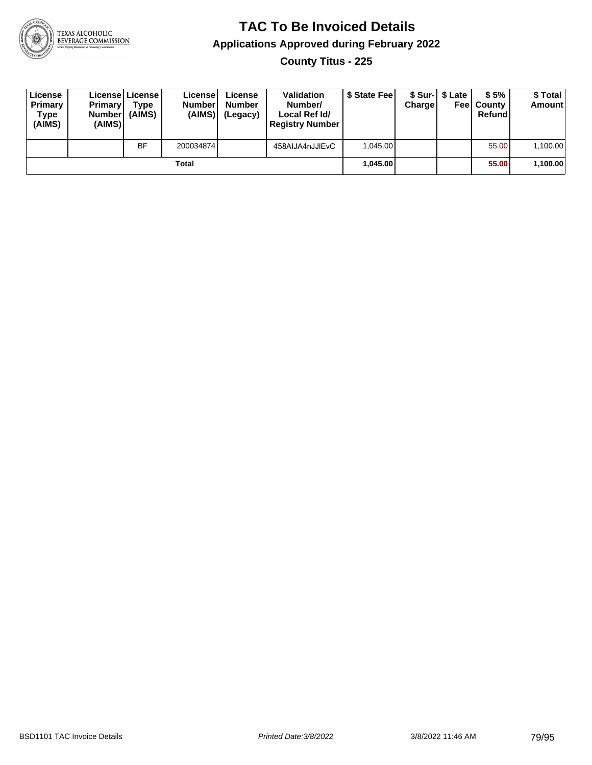

**County Titus - 225**

| License<br>Primary<br>Type<br>(AIMS) | <b>Primary</b><br><b>Number</b><br>(AIMS) | License   License  <br>Type<br>(AIMS) | License<br><b>Number</b><br>(AIMS) | License<br><b>Number</b><br>(Legacy) | <b>Validation</b><br>Number/<br>Local Ref Id/<br><b>Registry Number</b> | \$ State Feel | Charge | \$ Sur-I \$ Late | \$5%<br><b>Feel County</b><br>Refund | \$ Total<br>Amount |
|--------------------------------------|-------------------------------------------|---------------------------------------|------------------------------------|--------------------------------------|-------------------------------------------------------------------------|---------------|--------|------------------|--------------------------------------|--------------------|
|                                      |                                           | <b>BF</b>                             | 200034874                          |                                      | 458AIJA4nJJIEvC                                                         | 1.045.00      |        |                  | 55.00                                | 1,100.00           |
|                                      |                                           |                                       | Total                              |                                      |                                                                         | 1.045.00      |        |                  | 55.00                                | 1,100.00           |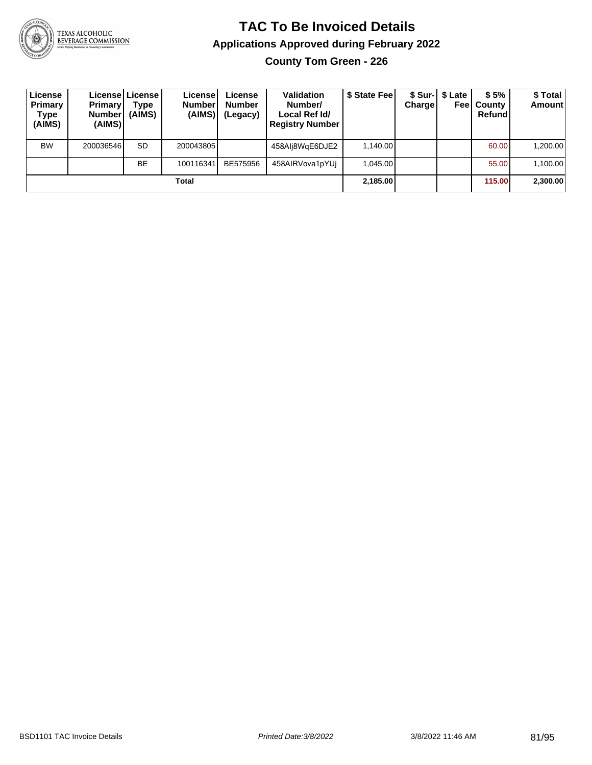

**County Tom Green - 226**

| License<br>Primary<br>Type<br>(AIMS) | <b>Primary</b><br>Number <br>(AIMS) | License   License  <br>Type<br>(AIMS) | Licensel<br><b>Number</b><br>(AIMS) | License<br><b>Number</b><br>(Legacy) | <b>Validation</b><br>Number/<br>Local Ref Id/<br><b>Registry Number</b> | \$ State Fee | Charge | \$ Sur-1 \$ Late | \$5%<br><b>Feel County</b><br>Refund | \$Total<br><b>Amount</b> |
|--------------------------------------|-------------------------------------|---------------------------------------|-------------------------------------|--------------------------------------|-------------------------------------------------------------------------|--------------|--------|------------------|--------------------------------------|--------------------------|
| <b>BW</b>                            | 200036546                           | <b>SD</b>                             | 200043805                           |                                      | 458Alj8WgE6DJE2                                                         | 1.140.00     |        |                  | 60.00                                | 1,200.00                 |
|                                      |                                     | <b>BE</b>                             | 100116341                           | BE575956                             | 458AIRVova1pYUj                                                         | 1.045.00     |        |                  | 55.00                                | 1,100.00                 |
|                                      |                                     |                                       | Total                               |                                      |                                                                         | 2,185.00     |        |                  | 115.00                               | 2,300.00                 |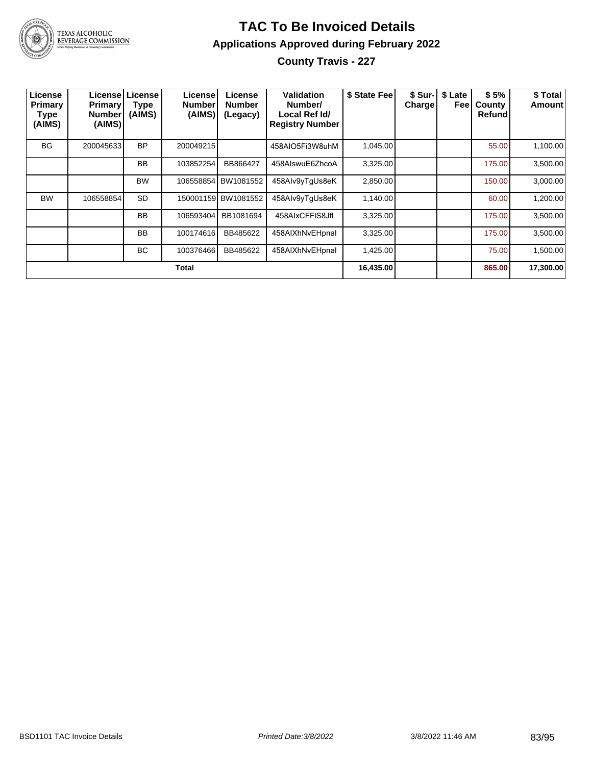

### **TAC To Be Invoiced Details Applications Approved during February 2022 County Travis - 227**

| License<br>Primary<br><b>Type</b><br>(AIMS) | <b>Primary!</b><br><b>Number</b><br>(AIMS) | License License<br><b>Type</b><br>(AIMS) | License<br><b>Number</b><br>(AIMS) | License<br><b>Number</b><br>(Legacy) | Validation<br>Number/<br>Local Ref Id/<br><b>Registry Number</b> | \$ State Fee | \$ Sur-<br><b>Charge</b> | \$ Late<br>Feel | \$5%<br>County<br>Refund | \$ Total<br>Amount |
|---------------------------------------------|--------------------------------------------|------------------------------------------|------------------------------------|--------------------------------------|------------------------------------------------------------------|--------------|--------------------------|-----------------|--------------------------|--------------------|
| <b>BG</b>                                   | 200045633                                  | <b>BP</b>                                | 200049215                          |                                      | 458AIO5Fi3W8uhM                                                  | 1,045.00     |                          |                 | 55.00                    | 1,100.00           |
|                                             |                                            | <b>BB</b>                                | 103852254                          | BB866427                             | 458AIswuE6ZhcoA                                                  | 3,325.00     |                          |                 | 175.00                   | 3,500.00           |
|                                             |                                            | <b>BW</b>                                | 106558854                          | <b>BW1081552</b>                     | 458Alv9yTqUs8eK                                                  | 2,850.00     |                          |                 | 150.00                   | 3,000.00           |
| <b>BW</b>                                   | 106558854                                  | <b>SD</b>                                |                                    | 150001159 BW1081552                  | 458Alv9yTqUs8eK                                                  | 1,140.00     |                          |                 | 60.00                    | 1,200.00           |
|                                             |                                            | <b>BB</b>                                | 106593404                          | BB1081694                            | 458AIxCFFIS8JfI                                                  | 3,325.00     |                          |                 | 175.00                   | 3,500.00           |
|                                             |                                            | <b>BB</b>                                | 100174616                          | BB485622                             | 458AIXhNvEHpnal                                                  | 3,325.00     |                          |                 | 175.00                   | 3,500.00           |
|                                             |                                            | ВC                                       | 100376466                          | BB485622                             | 458AIXhNvEHpnal                                                  | 1,425.00     |                          |                 | 75.00                    | 1,500.00           |
|                                             |                                            |                                          | Total                              |                                      |                                                                  | 16,435.00    |                          |                 | 865.00                   | 17,300.00          |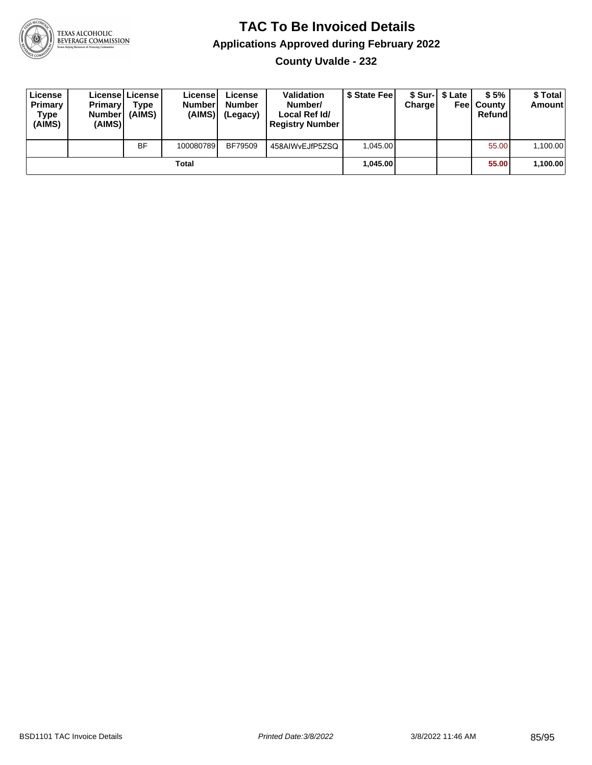

### **TAC To Be Invoiced Details Applications Approved during February 2022 County Uvalde - 232**

| License<br>Primary<br>Type<br>(AIMS) | Primaryl<br><b>Number</b><br>(AIMS) | Licensel License I<br>Tvpe<br>(AIMS) | License<br><b>Number</b><br>(AIMS) | License<br><b>Number</b><br>(Legacy) | <b>Validation</b><br>Number/<br>Local Ref Id/<br><b>Registry Number</b> | \$ State Feel | Chargel | \$ Sur-1 \$ Late<br>Feel | \$5%<br>l Countv<br>Refund | \$ Total<br><b>Amount</b> |
|--------------------------------------|-------------------------------------|--------------------------------------|------------------------------------|--------------------------------------|-------------------------------------------------------------------------|---------------|---------|--------------------------|----------------------------|---------------------------|
|                                      |                                     | <b>BF</b>                            | 100080789                          | BF79509                              | 458AIWvEJfP5ZSQ                                                         | 1.045.00      |         |                          | 55.00                      | 1.100.00                  |
|                                      |                                     |                                      | Total                              |                                      |                                                                         | 1.045.00      |         |                          | 55.00                      | 1,100.00                  |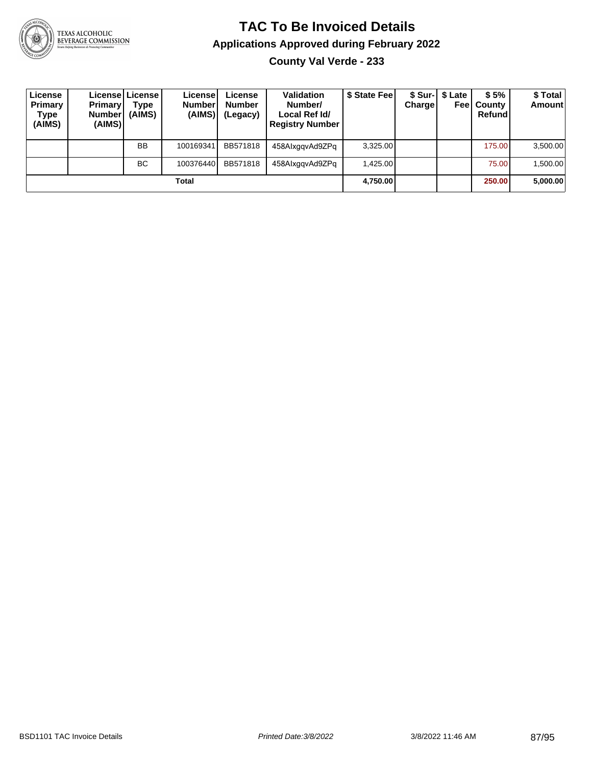

## TEXAS ALCOHOLIC<br>BEVERAGE COMMISSION

#### **TAC To Be Invoiced Details Applications Approved during February 2022 County Val Verde - 233**

| License<br>Primary<br>Type<br>(AIMS) | <b>Primary</b><br><b>Number</b><br>(AIMS) | License   License  <br>Type<br>(AIMS) | License!<br><b>Number</b><br>(AIMS) | License<br><b>Number</b><br>(Legacy) | Validation<br>Number/<br>Local Ref Id/<br><b>Registry Number</b> | \$ State Fee | Chargel | \$ Sur-1 \$ Late | \$5%<br><b>Feel County</b><br>Refund | \$ Total<br><b>Amount</b> |
|--------------------------------------|-------------------------------------------|---------------------------------------|-------------------------------------|--------------------------------------|------------------------------------------------------------------|--------------|---------|------------------|--------------------------------------|---------------------------|
|                                      |                                           | <b>BB</b>                             | 100169341                           | BB571818                             | 458AlxggvAd9ZPg                                                  | 3,325.00     |         |                  | 175.00                               | 3,500.00                  |
|                                      |                                           | BC.                                   | 100376440                           | BB571818                             | 458AlxggvAd9ZPg                                                  | 1.425.00     |         |                  | 75.00                                | 1.500.00                  |
|                                      |                                           |                                       | Total                               |                                      |                                                                  | 4,750.00     |         |                  | 250.00                               | 5,000.00                  |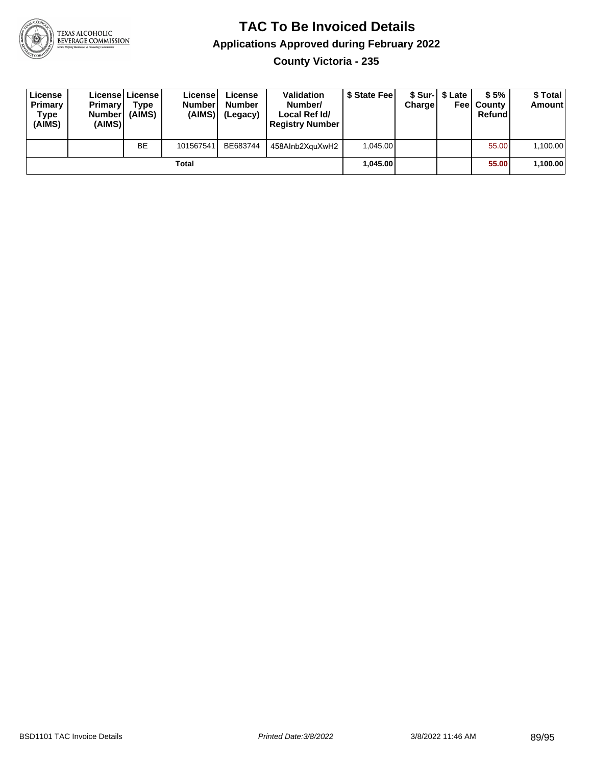

**County Victoria - 235**

| License<br>Primary<br>Type<br>(AIMS) | <b>Primary</b><br><b>Number</b><br>(AIMS) | <b>License   License</b><br>Type<br>(AIMS) | License<br><b>Number</b><br>(AIMS) | License<br><b>Number</b><br>(Legacy) | <b>Validation</b><br>Number/<br>Local Ref Id/<br><b>Registry Number</b> | \$ State Feel | Charge | \$ Sur-1 \$ Late | \$5%<br><b>Feel County</b><br>Refund | \$ Total<br><b>Amount</b> |
|--------------------------------------|-------------------------------------------|--------------------------------------------|------------------------------------|--------------------------------------|-------------------------------------------------------------------------|---------------|--------|------------------|--------------------------------------|---------------------------|
|                                      |                                           | <b>BE</b>                                  | 101567541                          | BE683744                             | 458AInb2XguXwH2                                                         | 1.045.00      |        |                  | 55.00                                | 1,100.00                  |
|                                      |                                           |                                            | Total                              |                                      |                                                                         | 1.045.00      |        |                  | 55.00                                | 1,100.00                  |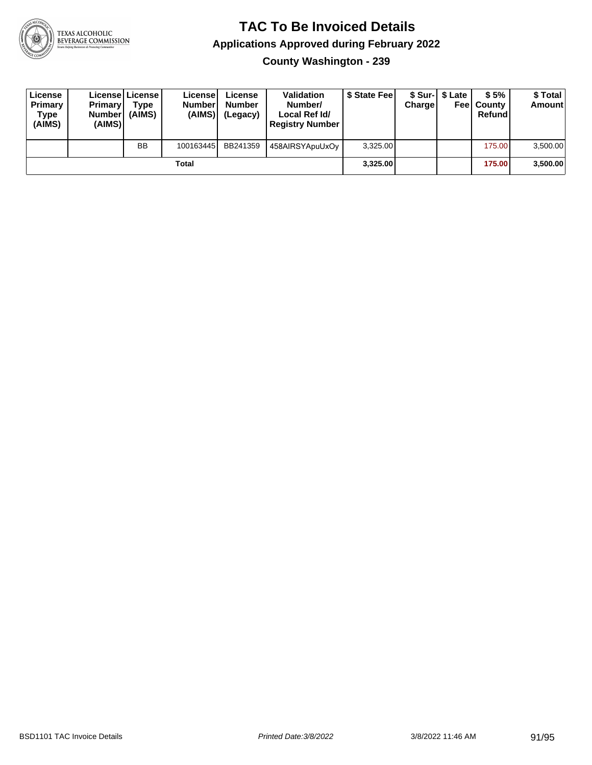

**County Washington - 239**

| License<br>Primary<br>Type<br>(AIMS) | <b>Primary</b><br>Number<br>(AIMS) | License   License  <br>Type<br>(AIMS) | Licensel<br><b>Number</b><br>(AIMS) | License<br><b>Number</b><br>(Legacy) | <b>Validation</b><br>Number/<br>Local Ref Id/<br><b>Registry Number</b> | \$ State Feel | Charge | \$ Sur-1 \$ Late | \$5%<br><b>Feel County</b><br>Refund | \$ Total<br><b>Amount</b> |
|--------------------------------------|------------------------------------|---------------------------------------|-------------------------------------|--------------------------------------|-------------------------------------------------------------------------|---------------|--------|------------------|--------------------------------------|---------------------------|
|                                      |                                    | <b>BB</b>                             | 100163445                           | BB241359                             | 458AIRSYApuUxOy                                                         | 3,325.00      |        |                  | 175.00                               | 3,500.00                  |
|                                      |                                    |                                       | Total                               |                                      |                                                                         | 3,325.00      |        |                  | 175.00                               | 3,500.00                  |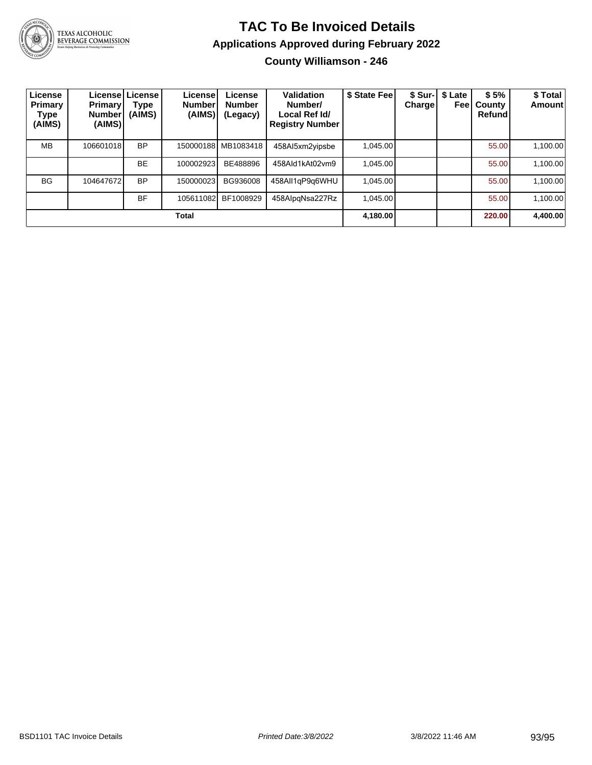

TEXAS ALCOHOLIC<br>BEVERAGE COMMISSION

## **TAC To Be Invoiced Details Applications Approved during February 2022**

**County Williamson - 246**

| License<br>Primary<br>Type<br>(AIMS) | <b>Primary!</b><br>Number <sup>'</sup><br>(AIMS) | License License<br>Type<br>(AIMS) | License!<br><b>Number</b><br>(AIMS) | License<br><b>Number</b><br>(Legacy) | Validation<br>Number/<br>Local Ref Id/<br><b>Registry Number</b> | \$ State Fee | <b>Charge</b> | \$ Sur-1 \$ Late<br>Feel | \$5%<br>County<br>Refund | \$ Total<br><b>Amount</b> |
|--------------------------------------|--------------------------------------------------|-----------------------------------|-------------------------------------|--------------------------------------|------------------------------------------------------------------|--------------|---------------|--------------------------|--------------------------|---------------------------|
| <b>MB</b>                            | 106601018                                        | <b>BP</b>                         |                                     | 150000188 MB1083418                  | 458Al5xm2yipsbe                                                  | 1.045.00     |               |                          | 55.00                    | 1,100.00                  |
|                                      |                                                  | <b>BE</b>                         | 100002923                           | BE488896                             | 458Ald1kAt02vm9                                                  | 1.045.00     |               |                          | 55.00                    | 1,100.00                  |
| <b>BG</b>                            | 104647672                                        | BP                                | 150000023                           | BG936008                             | 458All1gP9g6WHU                                                  | 1.045.00     |               |                          | 55.00                    | 1,100.00                  |
|                                      |                                                  | <b>BF</b>                         | 105611082                           | BF1008929                            | 458AlpgNsa227Rz                                                  | 1.045.00     |               |                          | 55.00                    | 1,100.00                  |
|                                      |                                                  |                                   | Total                               |                                      |                                                                  | 4,180.00     |               |                          | 220.00                   | 4,400.00                  |